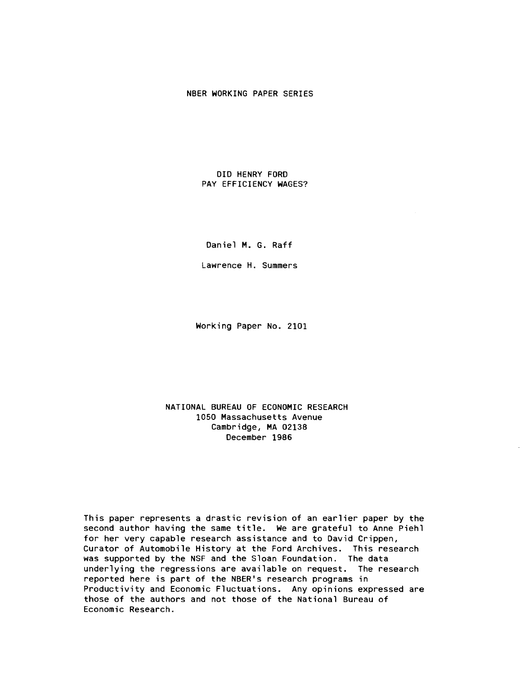# NBER WORKING PAPER SERIES

## DID HENRY FORD PAY EFFICIENCY WAGES?

Daniel M. 6. Raff

Lawrence H. Summers

Working Paper No. 2101

## NATIONAL BUREAU OF ECONOMIC RESEARCH 1050 Massachusetts Avenue Cambridge, MA 02138 December 1986

This paper represents a drastic revision of an earlier paper by the second author having the same title. We are grateful to Anne Piehi for her very capable research assistance and to David Crippen, Curator of Automobile History at the Ford Archives. This research was supported by the NSF and the Sloan Foundation. The data underlying the regressions are available on request. The research reported here is part of the NBER's research programs in Productivity and Economic Fluctuations. Any opinions expressed are those of the authors and not those of the National Bureau of Economic Research.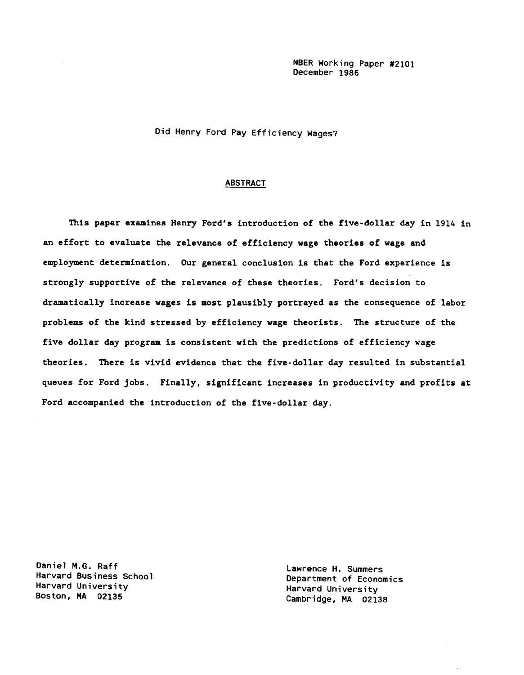NBER Working Paper #2101 December 1986

Did Henry Ford Pay Efficiency Wages?

## ABSTRACT

This paper examines Henry Ford's introduction of the five-dollar day in 1914 in an effort to evaluate the relevance of efficiency wage theories of wage and employment determination. Our general conclusion is that the Ford experience is strongly supportive of the relevance of these theories. Ford's decision to dramatically increase wages is most plausibly portrayed as the consequence of labor problems of the kind stressed by efficiency wage theorists. The structure of the five dollar day program is consistent with the predictions of efficiency wage theories. There is vivid evidence that the five-dollar day resulted in substantial queues for Ford jobs. Finally, significant increases in productivity and profits at Ford accompanied the introduction of the five-dollar day.

Daniel M.O. Raff Harvard Business School Harvard University Boston, MA 02135

Lawrence H. Summers Department of Economics Harvard University Cambridge, MA 02138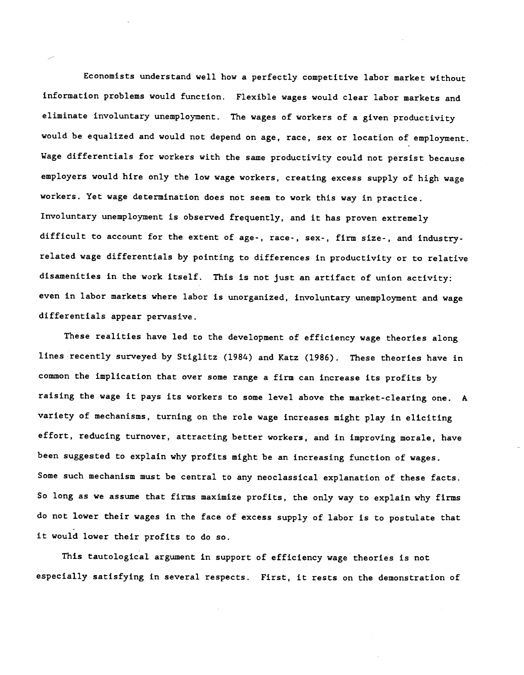Economists understand well how a perfectly competitive labor market without information problems would function. Flexible wages would clear labor markets and eliminate involuntary unemployment. The wages of workers of a given productivity would be equalized and would not depend on age, race, sex or location of employment. Wage differentials for workers with the same productivity could not persist because employers would hire only the low wage workers, creating excess supply of high wage workers. Yet wage determination does not seem to work this way in practice. Involuntary unemployment is observed frequently, and it has proven extremely difficult to account for the extent of age-, race-, sex-, firm size-, and industryrelated wage differentials by pointing to differences in productivity or to relative disamenities in the work itself. This is not just an artifact of union activity: even in labor markets where labor is unorganized, involuntary unemployment and wage differentials appear pervasive.

These realities have led to the development of efficiency wage theories along lines recently surveyed by Stiglitz (1984) and Katz (1986). These theories have in common the implication that over some range a firm can increase its profits by raising the wage it pays its workers to some level above the market-clearing one. A variety of mechanisms, turning on the role wage increases might play in eliciting effort, reducing turnover, attracting better workers, and in improving morale, have been suggested to explain why profits might be an increasing function of wages. Some such mechanism must be central to any neoclassical explanation of these facts. So long as we assume that firms maximize profits, the only way to explain why firms do not lower their wages in the face of excess supply of labor is to postulate that it would lower their profits to do so.

This tautological argument in support of efficiency wage theories is not especially satisfying in several respects. First, it rests on the demonstration of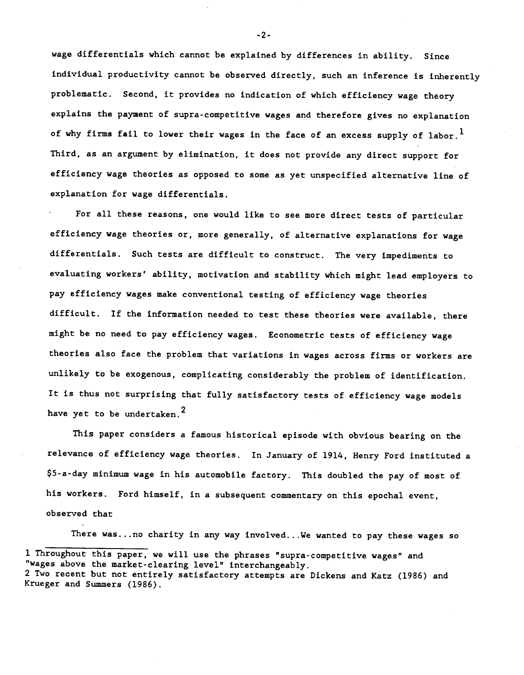wage differentials which cannot be explained by differences in ability. Since individual productivity cannot be observed directly, such an inference is inherently problematic. Second, it provides no indication of which efficiency wage theory explains the payment of supra-competitive wages and therefore gives no explanation of why firms fail to lower their wages in the face of an excess supply of labor.<sup>1</sup> Third, as an argument by elimination, it does not provide any direct support for efficiency wage theories as opposed to some as yet unspecified alternative line of explanation for wage differentials.

For all these reasons, one would like to see more direct tests of particular efficiency wage theories or, more generally, of alternative explanations for wage differentials. Such tests are difficult to construct. The very impediments to evaluating workers' ability, motivation and stability which might lead employers to pay efficiency wages make conventional testing of efficiency wage theories difficult. If the information needed to test these theories were available, there might be no need to pay efficiency wages. Econometric tests of efficiency wage theories also face the problem that variations in wages across firms or workers are unlikely to be exogenous, complicating considerably the problem of identification. It is thus not surprising that fully satisfactory tests of efficiency wage models have yet to be undertaken.<sup>2</sup>

This paper considers a famous historical episode with obvious bearing on the relevance of efficiency wage theories. In January of 1914, Henry Ford instituted a \$5-a-day minimum wage in his automobile factory. This doubled the pay of most of his workers. Ford himself, in a subsequent commentary on this epochal event, observed that

There was. . .no charity in any way involved.. .We wanted to pay these wages so

-2-

<sup>1</sup> Throughout this paper, we will use the phrases "supra-competitive wages" and "wages above the market-clearing level" interchangeably. 2 Two recent but not entirely satisfactory attempts are Dickens and Katz (1986) and Krueger and Summers (1986).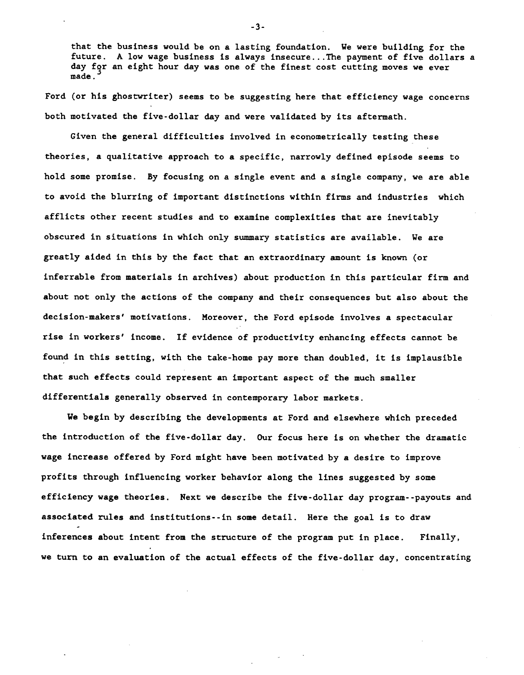that the business would be on a lasting foundation. We were building for the future. A low wage business is always insecure.. .The payment of five dollars a day for an eight hour day was one of the finest cost cutting moves we ever made.

Ford (or his ghostwriter) seems to be suggesting here that efficiency wage concerns both motivated the five-dollar day and were validated by its aftermath.

Given the general difficulties involved in econometrically testing these theories, a qualitative approach to a specific, narrowly defined episode seems to hold some promise. By focusing on a single event and a single company, we are able to avoid the blurring of important distinctions within firms and industries which afflicts other recent studies and to examine complexities that are inevitably obscured in situations in which only summary statistics are available. We are greatly aided in this by the fact that an extraordinary amount is known (or inferrable from materials in archives) about production in this particular firm and about not only the actions of the company and their consequences but also about the decision-makers' motivations. Moreover, the Ford episode involves a spectacular rise in workers' income. If evidence of productivity enhancing effects cannot be found in this setting, with the take-home pay more than doubled, it is implausible that such effects could represent an important aspect of the much smaller differentials generally observed in contemporary labor markets.

We begin by describing the developments at Ford and elsewhere which preceded the introduction of the five-dollar day. Our focus here is on whether the dramatic wage increase offered by Ford might have been motivated by a desire to improve profits through influencing worker behavior along the lines suggested by some efficiency wage theories. Next we describe the five-dollar day program--payouts and associated rules and institutions- -in some detail. Here the goal is to draw inferences about intent from the structure of the program put in place. Finally, we turn to an evaluation of the actual effects of the five-dollar day, concentrating

-3-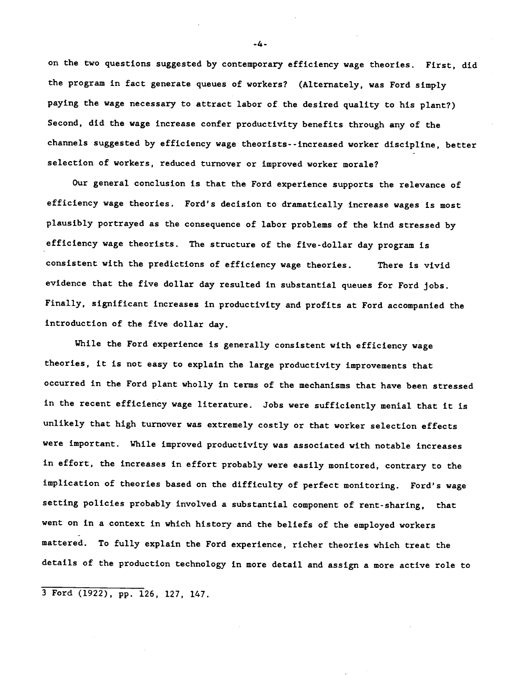on the two questions suggested by contemporary efficiency wage theories. First, did the program in fact generate queues of workers? (Alternately, was Ford simply paying the wage necessary to attract labor of the desired quality to his plant?) Second, did the wage increase confer productivity benefits through any of the channels suggested by efficiency wage theorists- -increased worker discipline, better selection of workers, reduced turnover or improved worker morale?

Our general conclusion is that the Ford experience supports the relevance of efficiency wage theories. Ford's decision to dramatically increase wages is most plausibly portrayed as the consequence of labor problems of the kind stressed by efficiency wage theorists. The structure of the five-dollar day program is consistent with the predictions of efficiency wage theories. There is vivid evidence that the five dollar day resulted in substantial queues for Ford jobs. Finally, significant increases in productivity and profits at Ford accompanied the introduction of the five dollar day.

While the Ford experience is generally consistent with efficiency wage theories, it is not easy to explain the large productivity improvements that occurred in the Ford plant wholly in terms of the mechanisms that have been stressed in the recent efficiency wage literature. Jobs were sufficiently menial that it is unlikely that high turnover was extremely costly or that worker selection effects were important. While improved productivity was associated with notable increases in effort, the increases in effort probably were easily monitored, contrary to the implication of theories based on the difficulty of perfect monitoring. Ford's wage setting policies probably involved a substantial component of rent-sharing, that went on in a context in which history and the beliefs of the employed workers mattered. To fully explain the Ford experience, richer theories which treat the details of the production technology in more detail and assign a more active role to

3 Ford (1922), pp. 126, 127, 147.

-4-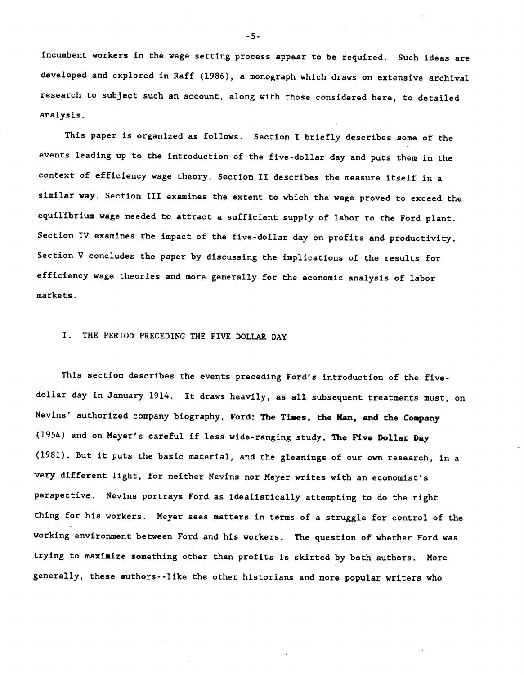incumbent workers in the wage setting process appear to be required. Such ideas are developed and explored in Raff (1986), a monograph which draws on extensive archival research to subject such an account, along with those considered here, to detailed analysis.

This paper is organized as follows. Section I briefly describes some of the events leading up to the introduction of the five-dollar day and puts them in the context of efficiency wage theory. Section II describes the measure itself in a similar way. Section III examines the extent to which the wage proved to exceed the equilibrium wage needed to attract a sufficient supply of labor to the Ford plant. Section IV examines the impact of the five-dollar day on profits and productivity. Section V concludes the paper by discussing the implications of the results for efficiency wage theories and more generally for the economic analysis of labor markets.

# I. THE PERIOD PRECEDING THE FIVE DOLLAR DAY

This section describes the events preceding Ford's introduction of the fivedollar day in January 1914. It draws heavily, as all subsequent treatments must, on Nevins' authorized company biography, Ford: The Times, the Man, and the Company (1954) and on Meyer's careful if less wide-ranging study, The Five Dollar Day (1981). But it puts the basic material, and the gleanings of our own research, in a very different light, for neither Nevins nor Meyer writes with an economist's perspective. Nevins portrays Ford as idealistically attempting to do the right thing for his workers. Meyer sees matters in terms of a struggle for control of the working environment between Ford and his workers. The question of whether Ford was trying to maximize something other than profits is skirted by both authors. More generally, these authors- -like the other historians and more popular writers who

-5-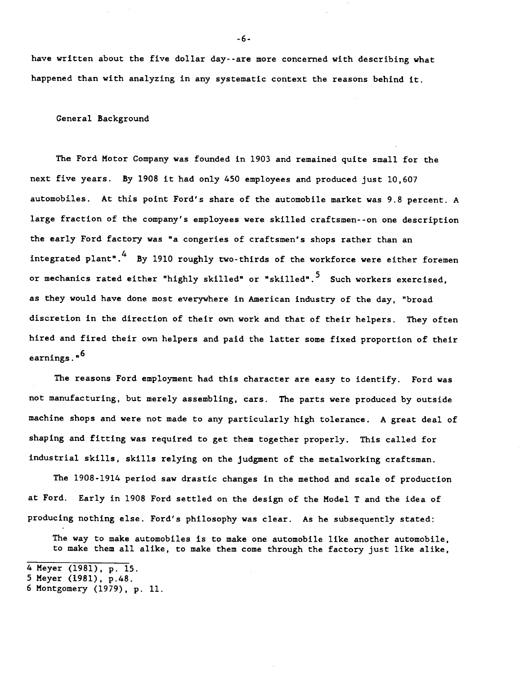have written about the five dollar day- -are more concerned with describing what happened than with analyzing in any systematic context the reasons behind it.

General Background

The Ford Motor Company was founded in 1903 and remained quite small for the next five years. By 1908 it had only 450 employees and produced just 10,607 automobiles. At this point Ford's share of the automobile market was 9.8 percent. A large fraction of the company's employees were skilled craftsmen--on one description the early Ford factory was "a congeries of craftsmen's shops rather than an integrated plant".<sup>4</sup> By 1910 roughly two-thirds of the workforce were either foremen or mechanics rated either "highly skilled" or "skilled".<sup>5</sup> Such workers exercised. as they would have done most everywhere in American industry of the day, "broad discretion in the direction of their own work and that of their helpers. They often hired and fired their own helpers and paid the latter some fixed proportion of their earnings."<sup>6</sup>

The reasons Ford employment had this character are easy to identify. Ford was not manufacturing, but merely assembling, cars. The parts were produced by outside machine shops and were not made to any particularly high tolerance. A great deal of shaping and fitting was required to get them together properly. This called for industrial skills, skills relying on the judgment of the metalworking craftsman.

The 1908-1914 period saw drastic changes in the method and scale of production at Ford. Early in 1908 Ford settled on the design of the Model T and the idea of producing nothing else. Ford's philosophy was clear. As he subsequently stated:

The way to make automobiles is to make one automobile like another automobile, to make them all alike, to make them come through the factory just like alike,

-6-

<sup>4</sup> Meyer (1981), p. 15.

<sup>5</sup> Meyer (1981), p.48.

<sup>6</sup> Montgomery (1979), p. 11.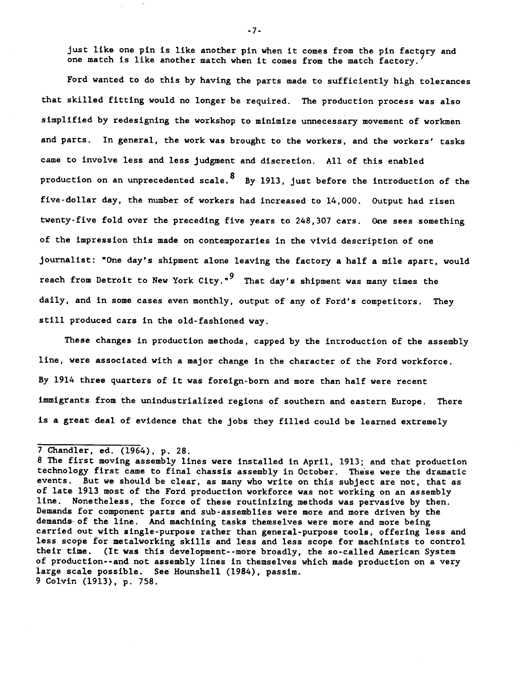just like one pin is like another pin when it comes from the pin factory and one match is like another match when it comes from the match factory.

Ford wanted to do this by having the parts made to sufficiently high tolerances that skilled fitting would no longer be required. The production process was also simplified by redesigning the workshop to minimize unnecessary movement of workmen and parts. In general, the work was brought to the workers, and the workers' tasks came to involve less and less judgment and discretion. All of this enabled production on an unprecedented scale. <sup>8</sup> By 1913, just before the introduction of the five-dollar day, the number of workers had increased to 14,000. Output had risen twenty-five fold over the preceding five years to 248,307 cars. One sees something of the impression this made on contemporaries in the vivid description of one journalist: "One day's shipment alone leaving the factory a half a mile apart, would reach from Detroit to New York City."<sup>9</sup> That day's shipment was many times the daily, and in some cases even monthly, output of any of Ford's competitors. They still produced cars in the old-fashioned way.

These changes in production methods, capped by the introduction of the assembly line, were associated with a major change in the character of the Ford workforce. By 1914 three quarters of it was foreign-born and more than half were recent immigrants from the unindustrialized regions of southern and eastern Europe. There is a great deal of evidence that the jobs they filled could be learned extremely

-7-

<sup>7</sup> Chandler, ed. (1964), p. 28.

<sup>8</sup> The first moving assembly lines were installed in April, 1913; and that production technology first came to final chassis assembly in October. These were the dramatic events. But we should be clear, as many who write on this subject are not, that as of late 1913 most of the Ford production workforce was not working on an assembly line. Nonetheless, the force of these routinizing methods was pervasive by then. Demands for component parts and sub-assemblies were more and more driven by the demands- of the line. And machining tasks themselves were more and more being carried out with single-purpose rather than general-purpose tools, offering less and less scope for metalworking skills and less and less scope for machinists to control their time. (It was this development- -more broadly, the so-called American System of production--and not assembly lines in themselves which made production on a very large scale possible. See Hounshell (1984), passim. 9 Colvin (1913), p. 758.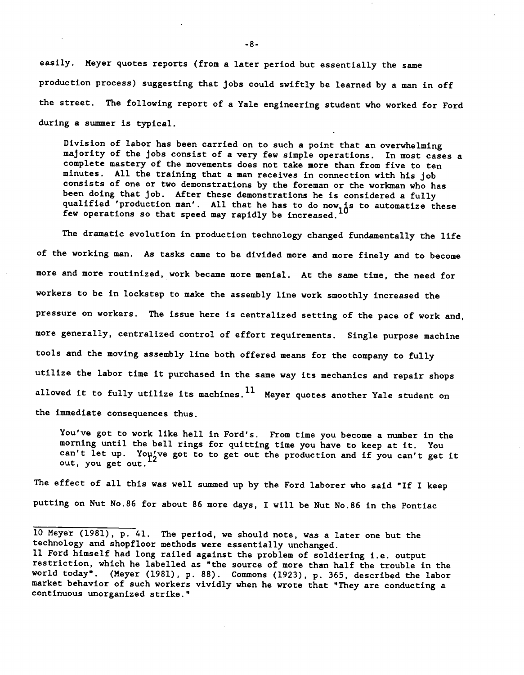easily. Meyer quotes reports (from a later period but essentially the same production process) suggesting that jobs could swiftly be learned by a man in off the street. The following report of a Yale engineering student who worked for Ford during a summer is typical.

Division of labor has been carried on to such a point that an overwhelming majority of the jobs consist of a very few simple operations. In most cases a complete mastery of the movements does not take more than from five to ten minutes. All the training that a man receives in connection with his job consists of one or two demonstrations by the foreman or the workman who has been doing that job. After these demonstrations he is considered a fully qualified 'production man'. All that he has to do now, is to automatize these few operations so that speed may rapidly be increased.

The dramatic evolution in production technology changed fundamentally the life of the working man. As tasks came to be divided more and more finely and to become more and more routinized, work became more menial. At the same time, the need for workers to be in lockstep to make the assembly line work smoothly increased the pressure on workers. The issue here is centralized setting of the pace of work and, more generally, centralized control of effort requirements. Single purpose machine tools and the moving assembly line both offered means for the company to fully utilize the labor time it purchased in the same way its mechanics and repair shops allowed it to fully utilize its machines.  $^{11}$  Meyer quotes another Yale student on the immediate consequences thus.

You've got to work like hell in Ford's. From time you become a number in the morning until the bell rings for quitting time you have to keep at it. You can't let up. You've got to to get out the production and if you can't get it out, you get out.

The effect of all this was well summed up by the Ford laborer who said "If I keep putting on Nut No.86 for about 86 more days, I will be Nut No.86 in the Pontiac

<sup>10</sup> Meyer (1981), p. 41. The period, we should note, was a later one but the technology and shopfloor methods were essentially unchanged.

<sup>11</sup> Ford himself had long railed against the problem of soldiering i.e. output restriction, which he labelled as "the source of more than half the trouble in the world today". (Meyer (1981), p. 88). Commons (1923), p. 365, described the labor market behavior of such workers vividly when he wrote that "They are conducting a continuous unorganized strike."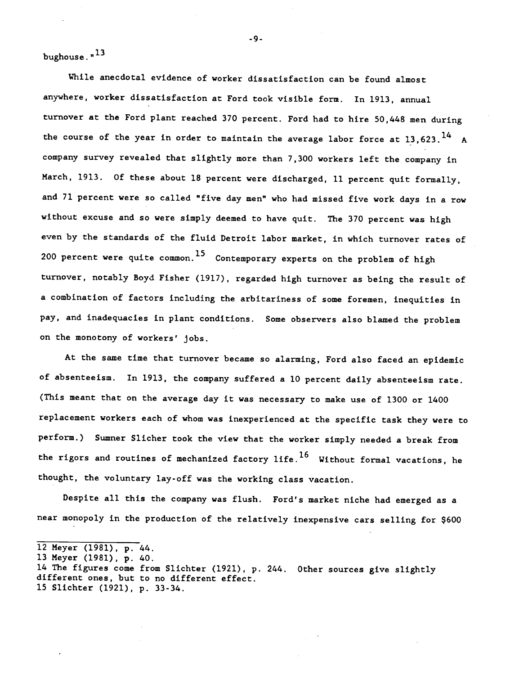bughouse." <sup>13</sup>

While anecdotal evidence of worker dissatisfaction can be found almost anywhere, worker dissatisfaction at Ford took visible form. In 1913, annual turnover at the Ford plant reached 370 percent. Ford had to hire 50,448 men during the course of the year in order to maintain the average labor force at 13,623.<sup>14</sup> A company survey revealed that slightly more than 7,300 workers left the company in March, 1913. Of these about 18 percent were discharged, 11 percent quit formally, and 71 percent were so called "five day men" who had missed five work days in a row without excuse and so were simply deemed to have quit. The 370 percent was high even by the standards of the fluid Detroit labor market, in which turnover rates of 200 percent were quite common.<sup>15</sup> Contemporary experts on the problem of high turnover, notably Boyd Fisher (1917), regarded high turnover as being the result of a combination of factors including the arbitariness of some foremen, inequities in pay, and inadequacies in plant conditions. Some observers also blamed the problem on the monotony of workers' jobs.

At the same time that turnover became so alarming, Ford also faced an epidemic of absenteeism. In 1913, the company suffered a 10 percent daily absenteeism rate. (This meant that on the average day it was necessary to make use of 1300 or 1400 replacement workers each of whom was inexperienced at the specific task they were to perform.) Sumner Slicher took the view that the worker simply needed a break from the rigors and routines of mechanized factory life.<sup>16</sup> Without formal vacations, he thought, the voluntary lay-off was the working class vacation.

Despite all this the company was flush. Ford's market niche had emerged as a near monopoly in the production of the relatively inexpensive cars selling for \$600

-9-

<sup>12</sup> Meyer (1981), p. 44.

<sup>13</sup> Meyer (1981), p. 40.

<sup>14</sup> The figures come from Slichter (1921), p. 244. Other sources give slightly different ones, but to no different effect. 15 Slichter (1921), p. 33-34.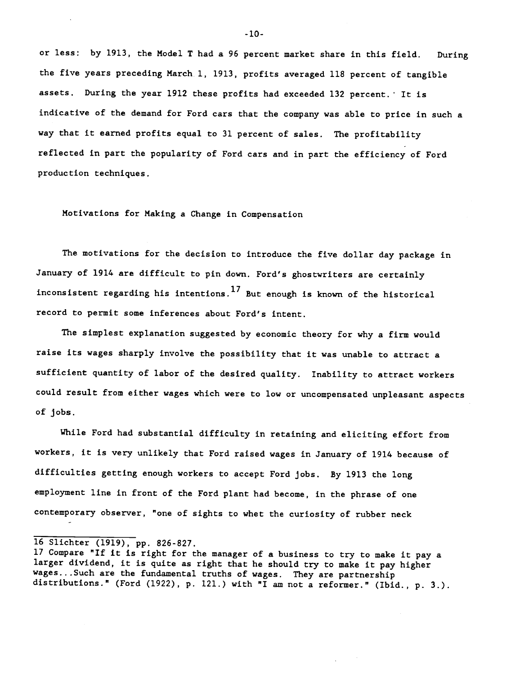or less: by 1913, the Model T had a 96 percent market share in this field. During the five years preceding March 1, 1913, profits averaged 118 percent of tangible assets. During the year 1912 these profits had exceeded 132 percent. It is indicative of the demand for Ford cars that the company was able to price in such a way that it earned profits equal to 31 percent of sales. The profitability reflected in part the popularity of Ford cars and in part the efficiency of Ford production techniques.

Motivations for Making a Change in Compensation

The motivations for the decision to introduce the five dollar day package in January of 1914 are difficult to pin down. Ford's ghostwriters are certainly inconsistent regarding his intentions.<sup>17</sup> But enough is known of the historical record to permit some inferences about Ford's intent.

The simplest explanation suggested by economic theory for why a firm would raise its wages sharply involve the possibility that it was unable to attract a sufficient quantity of labor of the desired quality. Inability to attract workers could result from either wages which were to low or uncompensated unpleasant aspects of jobs.

While Ford had substantial difficulty in retaining and eliciting effort from workers, it is very unlikely that Ford raised wages in January of 1914 because of difficulties getting enough workers to accept Ford jobs. By 1913 the long employment line in front of the Ford plant had become, in the phrase of one contemporary observer, "one of sights to whet the curiosity of rubber neck

16 Slichter (1919), pp. 826-827.

-10-

<sup>17</sup> Compare "If it is right for the manager of a business to try to make it pay a larger dividend, it is quite as right that he should try to make it pay higher wages.. .Such are the fundamental truths of wages. They are partnership distributions." (Ford (1922), p. 121.) with "I am not a reformer." (Ibid., p. 3.).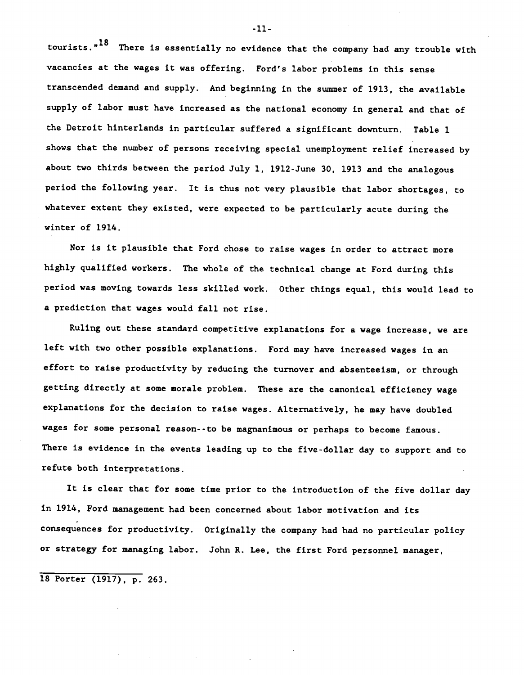tourists. $n^{18}$  There is essentially no evidence that the company had any trouble with vacancies at the wages it was offering. Ford's labor problems in this sense transcended demand and supply. And beginning in the summer of 1913, the available supply of labor must have increased as the national economy in general and that of the Detroit hinterlands in particular suffered a significant downturn. Table 1 shows that the number of persons receiving special unemployment relief increased by about two thirds between the period July 1, 1912-June 30, 1913 and the analogous period the following year. It is thus not very plausible that labor shortages, to whatever extent they existed, were expected to be particularly acute during the winter of 1914.

Nor is it plausible that Ford chose to raise wages in order to attract more highly qualified workers. The whole of the technical change at Ford during this period was moving towards less skilled work. Other things equal, this would lead to a prediction that wages would fall not rise.

Ruling out these standard competitive explanations for a wage increase, we are left with two other possible explanations. Ford may have increased wages in an effort to raise productivity by reducing the turnover and absenteeism, or through getting directly at some morale problem. These are the canonical efficiency wage explanations for the decision to raise wages. Alternatively, he may have doubled wages for some personal reason--to be magnanimous or perhaps to become famous. There is evidence in the events leading up to the five-dollar day to support and to refute both interpretations.

It is clear that for some time prior to the introduction of the five dollar day in 1914, Ford management had been concerned about labor motivation and its consequences for productivity. Originally the company had had no particular policy or strategy for managing labor. John R. Lee, the first Ford personnel manager,

18 Porter (1917), p. 263.

-11-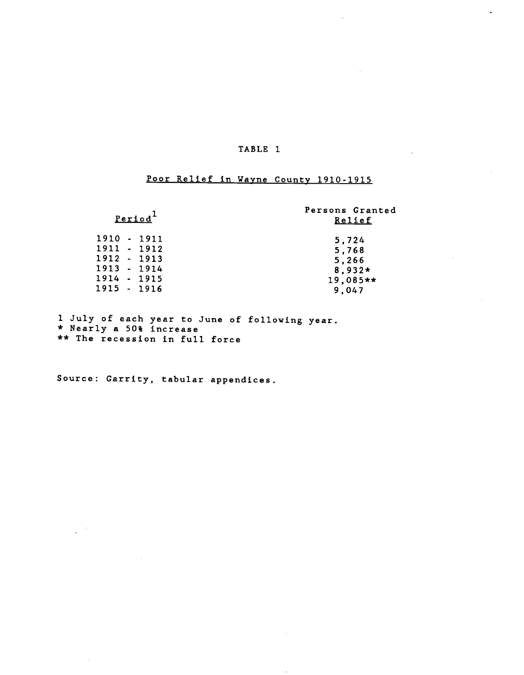# Poor Relief in Wayne County 1910-1915

# Period<sup>1</sup>

# Persons Granted Relief

| 1910 - 1911 | 5,724      |
|-------------|------------|
| 1911 - 1912 | 5.768      |
| 1912 - 1913 | 5.266      |
| 1913 - 1914 | $8.932*$   |
| 1914 - 1915 | $19,085**$ |
| 1915 - 1916 | 9.047      |
|             |            |

1 July of each year to June of following year. \* Nearly a 50% increase \*\* The recession in full force

Source: Garrity, tabular appendices.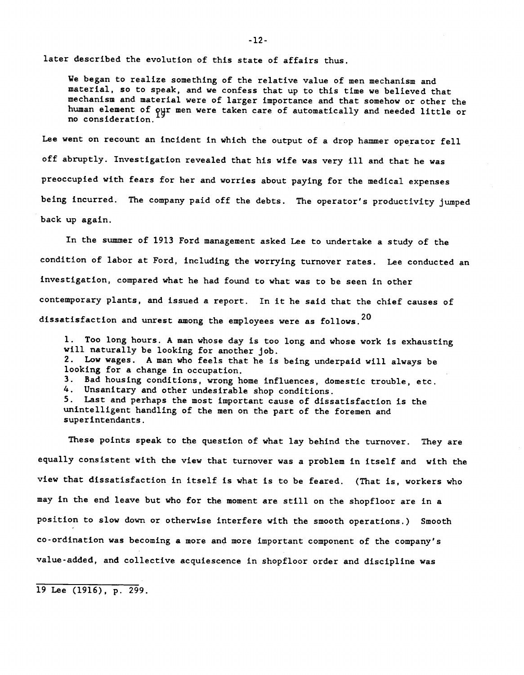later described the evolution of this state of affairs thus.

We began to realize something of the relative value of men mechanism and material, so to speak, and we confess that up to this time we believed that mechanism and material were of larger importance and that somehow or other the human element of our men were taken care of automatically and needed little or no consideration.

Lee went on recount an incident in which the output of a drop hammer operator fell off abruptly. Investigation revealed that his wife was very ill and that he was preoccupied with fears for her and worries about paying for the medical expenses being incurred. The company paid off the debts. The operator's productivity jumped back up again.

In the summer of 1913 Ford management asked Lee to undertake a study of the condition of labor at Ford, including the worrying turnover rates. Lee conducted an investigation, compared what he had found to what was to be seen in other contemporary plants, and issued a report. In it he said that the chief causes of dissatisfaction and unrest among the employees were as follows.<sup>20</sup>

1. Too long hours. A man whose day is too long and whose work is exhausting will naturally be looking for another job. 2. Low wages. A man who feels that he is being underpaid will always be looking for a change in occupation. 3. Bad housing conditions, wrong home influences, domestic trouble, etc. 4. Unsanitary and other undesirable shop conditions. 5. Last and perhaps the most important cause of dissatisfaction is the unintelligent handling of the men on the part of the foremen and superintendants.

These points speak to the question of what lay behind the turnover. They are equally consistent with the view that turnover was a problem in itself and with the view that dissatisfaction in itself is what is to be feared. (That is, workers who may in the end leave but who for the moment are still on the shopfloor are in a position to slow down or otherwise interfere with the smooth operations.) Smooth co-ordination was becoming a more and more important component of the company's value-added, and collective acquiescence in shopfloor order and discipline was

19 Lee (1916), p. 299.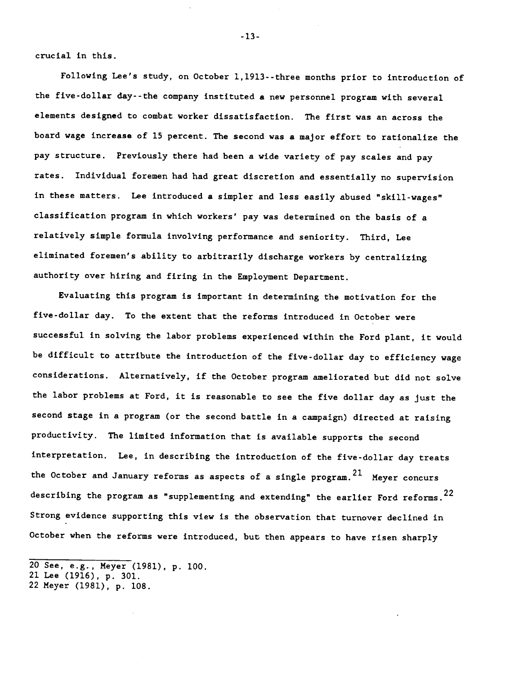crucial in this.

Following Lee's study, on October 1,1913--three months prior to introduction of the five-dollar day- -the company instituted a new personnel program with several elements designed to combat worker dissatisfaction. The first was an across the board wage increase of 15 percent. The second was a major effort to rationalize the pay structure. Previously there had been a wide variety of pay scales and pay rates. Individual foremen had had great discretion and essentially no supervision in these matters. Lee introduced a simpler and less easily abused "skill-wages" classification program in which workers' pay was determined on the basis of a relatively simple formula involving performance and seniority. Third, Lee eliminated foremen's ability to arbitrarily discharge workers by centralizing authority over hiring and firing in the Employment Department.

Evaluating this program is important in determining the motivation for the five-dollar day. To the extent that the reforms introduced in October were successful in solving the labor problems experienced within the Ford plant, it would be difficult to attribute the introduction of the five-dollar day to efficiency wage considerations. Alternatively, if the October program ameliorated but did not solve the labor problems at Ford, it is reasonable to see the five dollar day as just the second stage in a program (or the second battle in a campaign) directed at raising productivity. The limited information that is available supports the second interpretation. Lee, in describing the introduction of the five-dollar day treats the October and January reforms as aspects of a single program.<sup>21</sup> Meyer concurs describing the program as "supplementing and extending" the earlier Ford reforms.<sup>22</sup> Strong evidence supporting this view is the observation that turnover declined in October when the reforms were introduced, but then appears to have risen sharply

22 Meyer (1981), p. 108.

-13-

<sup>20</sup> See, e.g., Meyer (1981), p. 100.

<sup>21</sup> Lee (1916), p. 301.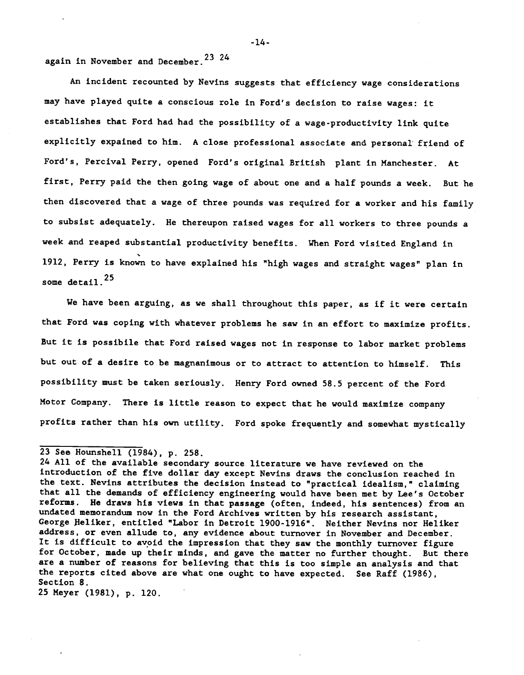again in November and December.23 <sup>24</sup>

An incident recounted by Nevins suggests that efficiency wage considerations may have played quite a conscious role in Ford's decision to raise wages: it establishes that Ford had had the possibility of a wage-productivity link quite explicitly expained to him. A close professional associate and personal friend of Ford's, Percival Perry, opened Ford's original British plant in Manchester. At first, Perry paid the then going wage of about one and a half pounds a week. But he then discovered that a wage of three pounds was required for a worker and his family to subsist adequately. He thereupon raised wages for all workers to three pounds a week and reaped substantial productivity benefits. When Ford visited England in 1912, Perry is known to have explained his "high wages and straight wages" plan in some detail.<sup>25</sup>

We have been arguing, as we shall throughout this paper, as if it were certain that Ford was coping with whatever problems he saw in an effort to maximize profits. But it is possibile that Ford raised wages not in response to labor market problems but out of a desire to be magnanimous or to attract to attention to himself. This possibility must be taken seriously. Henry Ford owned 58.5 percent of the Ford Motor Company. There is little reason to expect that he would maximize company profits rather than his own utility. Ford spoke frequently and somewhat mystically

25 Meyer (1981), P. 120.

-14-

<sup>23</sup> See Hounshell (1984), p. 258.

<sup>24</sup> All of the available secondary source literature we have reviewed on the introduction of the five dollar day except Nevins draws the conclusion reached in the text. Nevins attributes the decision instead to "practical idealism," claiming that all the demands of efficiency engineering would have been met by Lee's October reforms. He draws his views in that passage (often, indeed, his sentences) from an undated memorandum now in the Ford Archives written by his research assistant, George fleliker, entitled "Labor in Detroit 1900-1916". Neither Nevins nor Heliker address, or even allude to, any evidence about turnover in November and December. It is difficult to avoid the impression that they saw the monthly turnover figure for October, made up their minds, and gave the matter no further thought. But there are a number of reasons for believing that this is too simple an analysis and that the reports cited above are what one ought to have expected. See Raff (1986), Section 8.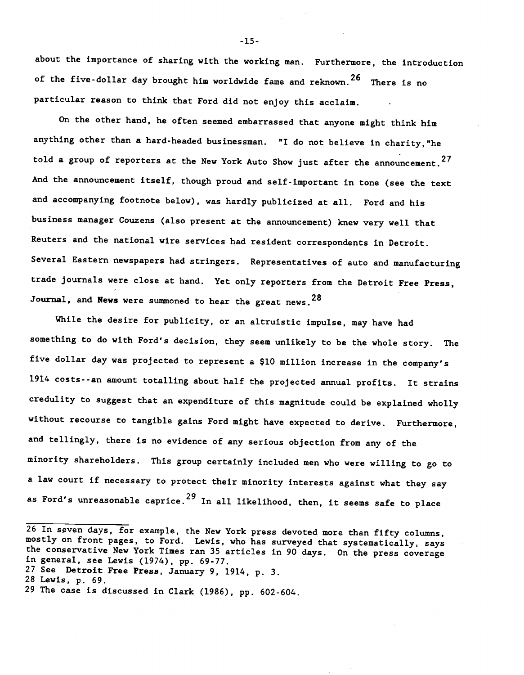about the importance of sharing with the working man. Furthermore, the introduction of the five-dollar day brought him worldwide fame and reknown.<sup>26</sup> There is no particular reason to think that Ford did not enjoy this acclaim.

On the other hand, he often seemed embarrassed that anyone might think him anything other than a hard-headed businessman. "I do not believe in charity, "he told a group of reporters at the New York Auto Show just after the announcement.<sup>27</sup> And the announcement itself, though proud and self-important in tone (see the text and accompanying footnote below), was hardly publicized at all. Ford and his business manager Couzens (also present at the announcement) knew very well that Reuters and the national wire services had resident correspondents in Detroit. Several Eastern newspapers had stringers. Representatives of auto and manufacturing trade journals were close at hand. Yet only reporters from the Detroit Free Press, Journal, and News were summoned to hear the great news.  $28$ 

While the desire for publicity, or an altruistic impulse, may have had something to do with Ford's decision, they seem unlikely to be the whole story. The five dollar day was projected to represent a \$10 million increase in the company's 1914 costs--an amount totalling about half the projected annual profits. It strains credulity to suggest that an expenditure of this magnitude could be explained wholly without recourse to tangible gains Ford might have expected to derive. Furthermore, and tellingly, there is no evidence of any serious objection from any of the minority shareholders. This group certainly included men who were willing to go to a law court if necessary to protect their minority interests against what they say as Ford's unreasonable caprice. $^{29}$  In all likelihood, then, it seems safe to place

<sup>26</sup> In seven days, for example, the New York press devoted more than fifty columns, mostly on front pages, to Ford. Lewis, who has surveyed that systematically, says the conservative New York Times ran 35 articles in 90 days. On the press coverage in general, see Lewis (1974), pp. 69-77.

<sup>27</sup> See Detroit Free Press, January 9, 1914, p. 3.

<sup>28</sup> Lewis, p. 69.

<sup>29</sup> The case is discussed in Clark (1986), pp. 602-604.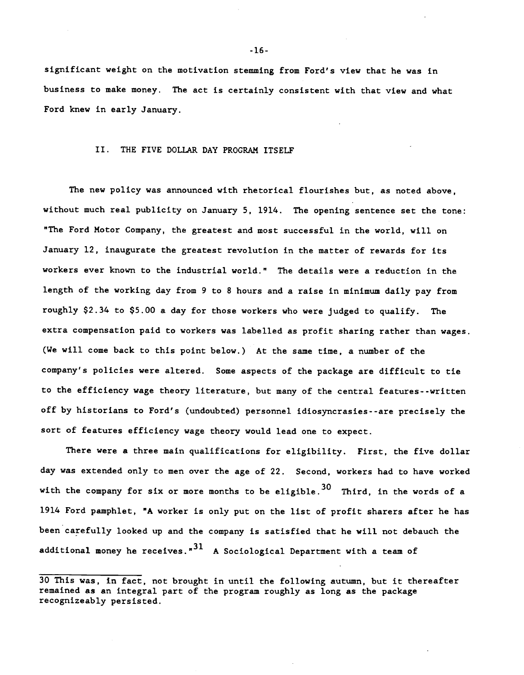significant weight on the motivation stemming from Ford's view that he was in business to make money. The act is certainly consistent with that view and what Ford knew in early January.

## II. THE FIVE DOLLAR DAY PROGRAM ITSELF

The new policy was announced with rhetorical flourishes but, as noted above, without much real publicity on January 5, 1914. The opening sentence set the tone: "The Ford Motor Company, the greatest and most successful in the world, will on January 12, inaugurate the greatest revolution in the matter of rewards for its workers ever known to the industrial world." The details were a reduction in the length of the working day from 9 to 8 hours and a raise in minimum daily pay from roughly \$2.34 to \$5.00 a day for those workers who were judged to qualify. The extra compensation paid to workers was labelled as profit sharing rather than wages. (We will come back to this point below.) At the same time, a number of the company's policies were altered. Some aspects of the package are difficult to tie to the efficiency wage theory literature, but many of the central features--written off by historians to Ford's (undoubted) personnel idiosyncrasies- -are precisely the sort of features efficiency wage theory would lead one to expect.

There were a three main qualifications for eligibility. First, the five dollar day was extended only to men over the age of 22. Second, workers had to have worked with the company for six or more months to be eligible.<sup>30</sup> Third, in the words of a 1914 Ford pamphlet, "A worker is only put on the list of profit sharers after he has been carefully looked up and the company is satisfied that he will not debauch the additional money he receives." $31$  A Sociological Department with a team of

<sup>30</sup> This was, in fact, not brought in until the following autumn, but it thereafter remained as an integral part of the program roughly as long as the package recognizeably persisted.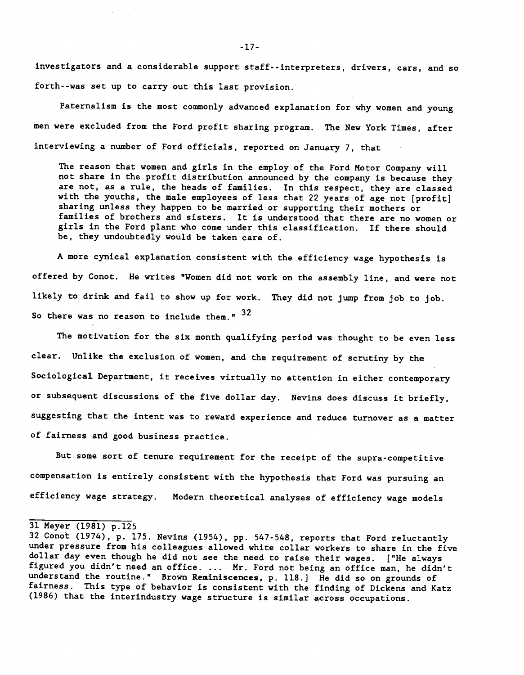investigators and a considerable support staff--interpreters, drivers, cars, and so forth- -was set up to carry out this last provision.

Paternalism is the most commonly advanced explanation for why women and young men were excluded from the Ford profit sharing program. The New York Times, after interviewing a number of Ford officials, reported on January 7, that

The reason that women and girls in the employ of the Ford Motor Company will not share in the profit distribution announced by the company is because they are not, as a rule, the heads of families. In this respect, they are classed with the youths, the male employees of less that 22 years of age not [profit] sharing unless they happen to be married or supporting their mothers or families of brothers and sisters. It is understood that there are no women or girls in the Ford plant who come under this classification. If there should be, they undoubtedly would be taken care of.

A more cynical explanation consistent with the efficiency wage hypothesis is offered by Conot. He writes "Women did not work on the assembly line, and were not likely to drink and fail to show up for work. They did not jump from job to job. So there was no reason to include them."  $32$ 

The motivation for the six month qualifying period was thought to be even less clear. Unlike the exclusion of women, and the requirement of scrutiny by the Sociological Department, it receives virtually no attention in either contemporary or subsequent discussions of the five dollar day. Nevins does discuss it briefly, suggesting that the intent was to reward experience and reduce turnover as a matter of fairness and good business practice.

But some sort of tenure requirement for the receipt of the supra-competitive compensation is entirely consistent with the hypothesis that Ford was pursuing an efficiency wage strategy. Modern theoretical analyses of efficiency wage models

<sup>31</sup> Meyer (1981) p.125

<sup>32</sup> Conot (1974), p. 175. Nevins (1954), pp. 547-548, reports that Ford reluctantly under pressure from his colleagues allowed white collar workers to share in the five dollar day even though he did not see the need to raise their wages. ["He always figured you didn't need an office. ... Mr. Ford not being an office man, he didn't understand the routine." Brown Reminiscences, p. 118.] He did so on grounds of fairness. This type of behavior is consistent with the finding of Dickens and Katz (1986) that the interindustry wage structure is similar across occupations.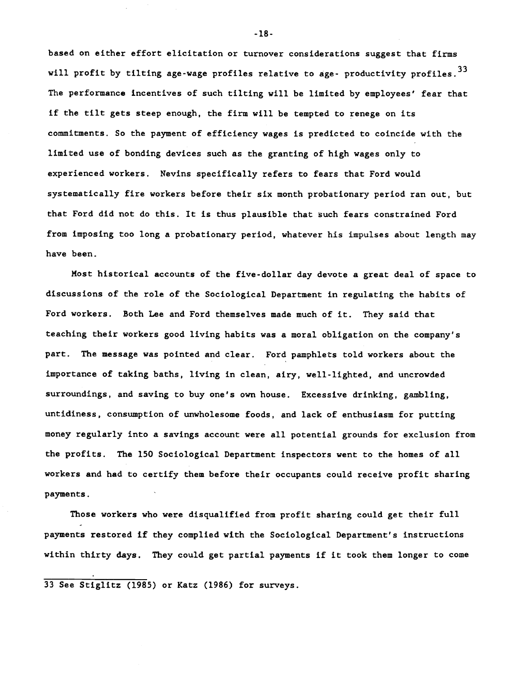based on either effort elicitation or turnover considerations suggest that firms will profit by tilting age-wage profiles relative to age- productivity profiles.<sup>33</sup> The performance incentives of such tilting will be limited by employees' fear that if the tilt gets steep enough, the firm will be tempted to renege on its commitments. So the payment of efficiency wages is predicted to coincide with the limited use of bonding devices such as the granting of high wages only to experienced workers. Nevins specifically refers to fears that Ford would systematically fire workers before their six month probationary period ran out, but that Ford did not do this. It is thus plausible that such fears constrained Ford from imposing too long a probationary period, whatever his impulses about length may have been.

Most historical accounts of the five-dollar day devote a great deal of space to discussions of the role of the Sociological Department in regulating the habits of Ford workers. Both Lee and Ford themselves made much of it. They said that teaching their workers good living habits was a moral obligation on the company's part. The message was pointed and clear. Ford pamphlets told workers about the importance of taking baths, living in clean, airy, well-lighted, and uncrowded surroundings, and saving to buy one's own house. Excessive drinking, gambling, untidiness, consumption of unwholesome foods, and lack of enthusiasm for putting money regularly into a savings account were all potential grounds for exclusion from the profits. The 150 Sociological Department inspectors went to the homes of all workers and had to certify them before their occupants could receive profit sharing payments.

Those workers who were disqualified from profit sharing could get their full payments restored if they complied with the Sociological Department's instructions within thirty days. They could get partial payments if it took them longer to come

33 See Stiglitz (1985) or Katz (1986) for surveys.

-18-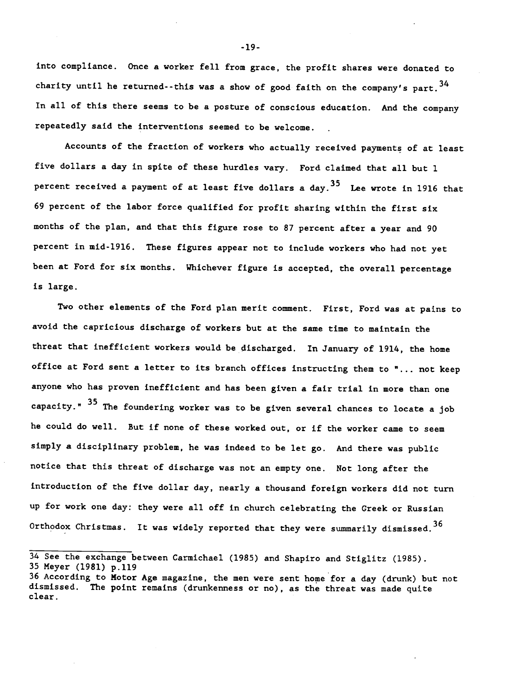into compliance. Once a worker fell from grace, the profit shares were donated to charity until he returned--this was a show of good faith on the company's part.  $34$ In all of this there seems to be a posture of conscious education. And the company repeatedly said the interventions seemed to be welcome.

Accounts of the fraction of workers who actually received payments of at least five dollars a day in spite of these hurdles vary. Ford claimed that all but 1 percent received a payment of at least five dollars a day.<sup>35</sup> Lee wrote in 1916 that 69 percent of the labor force qualified for profit sharing within the first six months of the plan, and that this figure rose to 87 percent after a year and 90 percent in mid-1916. These figures appear not to include workers who had not yet been at Ford for six months. Whichever figure is accepted, the overall percentage is large.

Two other elements of the Ford plan merit comment. First, Ford was at pains to avoid the capricious discharge of workers but at the same time to maintain the threat that inefficient workers would be discharged. In January of 1914, the home office at Ford sent a letter to its branch offices instructing them to "... not keep anyone who has proven inefficient and has been given a fair trial in more than one capacity." <sup>35</sup> The foundering worker was to be given several chances to locate a job he could do well. But if none of these worked out, or if the worker came to seem simply a disciplinary problem, he was indeed to be let go. And there was public notice that this threat of discharge was not an empty one. Not long after the introduction of the five dollar day, nearly a thousand foreign workers did not turn up for work one day: they were all off in church celebrating the Greek or Russian Orthodox Christmas. It was widely reported that they were summarily dismissed.  $36$ 

-19-

<sup>34</sup> See the exchange between Carmichael (1985) and Shapiro and Stiglitz (1985). <sup>35</sup> Meyer (1981) p.119

<sup>36</sup> According to Motor Age magazine, the men were sent home for a day (drunk) but not dismissed. The point remains (drunkenness or no), as the threat was made quite clear.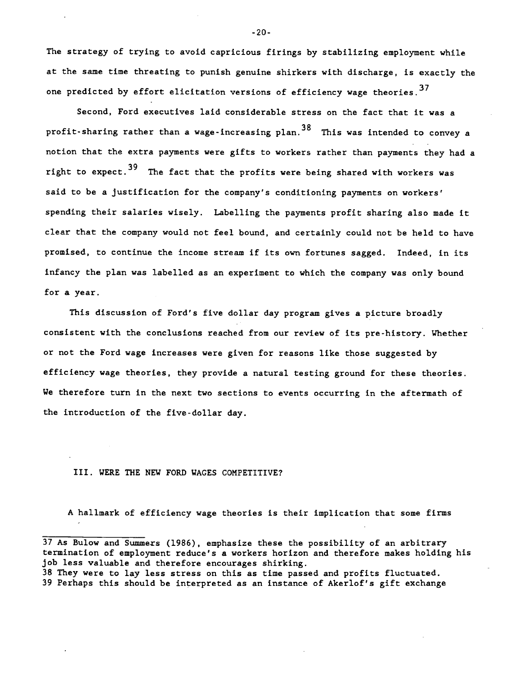The strategy of trying to avoid capricious firings by stabilizing employment while at the same time threating to punish genuine shirkers with discharge, is exactly the one predicted by effort elicitation versions of efficiency wage theories.<sup>37</sup>

Second, Ford executives laid considerable stress on the fact that it was a profit-sharing rather than a wage-increasing plan.<sup>38</sup> This was intended to convey a notion that the extra payments were gifts to workers rather than payments they had a right to expect.<sup>39</sup> The fact that the profits were being shared with workers was said to be a justification for the company's conditioning payments on workers' spending their salaries wisely. Labelling the payments profit sharing also made it clear that the company would not feel bound, and certainly could not be held to have promised, to continue the income stream if its own fortunes sagged. Indeed, in its infancy the plan was labelled as an experiment to which the company was oniy bound for a year.

This discussion of Ford's five dollar day program gives a picture broadly consistent with the conclusions reached from our review of its pre-history. Whether or not the Ford wage increases were given for reasons like those suggested by efficiency wage theories, they provide a natural testing ground for these theories. We therefore turn in the next two sections to events occurring in the aftermath of the introduction of the five-dollar day.

#### III. WERE THE NEW FORD WAGES COMPETITIVE?

A hallmark of efficiency wage theories is their implication that some firms

-20-

<sup>37</sup> As Bulow and Summers (1986), emphasize these the possibility of an arbitrary termination of employment reduce's a workers horizon and therefore makes holding his job less valuable and therefore encourages shirking.

<sup>38</sup> They were to lay less stress on this as time passed and profits fluctuated. 39 Perhaps this should be interpreted as an instance of Akerlof's gift exchange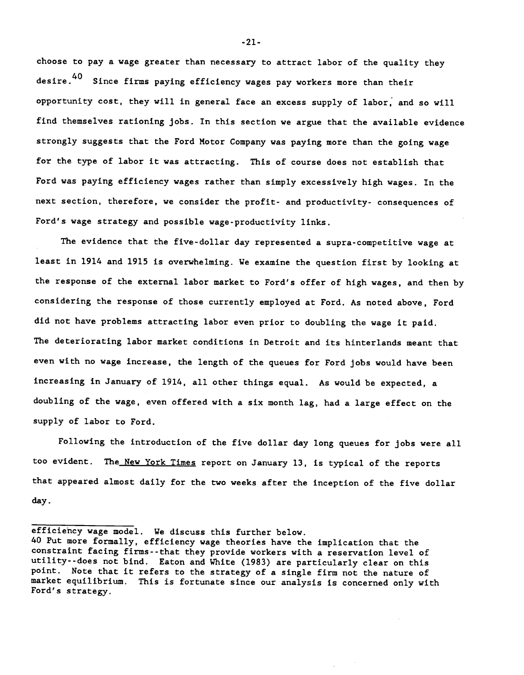choose to pay a wage greater than necessary to attract labor of the quality they desire.<sup>40</sup> Since firms paying efficiency wages pay workers more than their opportunity cost, they will in general face an excess supply of labor, and so will find themselves rationing jobs. In this section we argue that the available evidence strongly suggests that the Ford Motor Company was paying more than the going wage for the type of labor it was attracting. This of course does not establish that Ford was paying efficiency wages rather than simply excessively high wages. In the next section, therefore, we consider the profit- and productivity- consequences of Ford's wage strategy and possible wage-productivity links.

The evidence that the five-dollar day represented a supra-competitive wage at least in 1914 and 1915 is overwhelming. We examine the question first by looking at the response of the external labor market to Ford's offer of high wages, and then by considering the response of those currently employed at Ford. As noted above, Ford did not have problems attracting labor even prior to doubling the wage it paid. The deteriorating labor market conditions in Detroit and its hinterlands meant that even with no wage increase, the length of the queues for Ford jobs would have been increasing in January of 1914, all other things equal. As would be expected, a doubling of the wage, even offered with a six month lag, had a large effect on the supply of labor to Ford.

Following the introduction of the five dollar day long queues for jobs were all too evident. The New York Times report on January 13, is typical of the reports that appeared almost daily for the two weeks after the inception of the five dollar day.

efficiency wage model. We discuss this further below.

<sup>40</sup> Put more formally, efficiency wage theories have the implication that the constraint facing firms- -that they provide workers with a reservation level of utility- -does not bind. Eaton and White (1983) are particularly clear on this point. Note that it refers to the strategy of a single firm not the nature of market equilibrium. This is fortunate since our analysis is concerned only with Ford's strategy.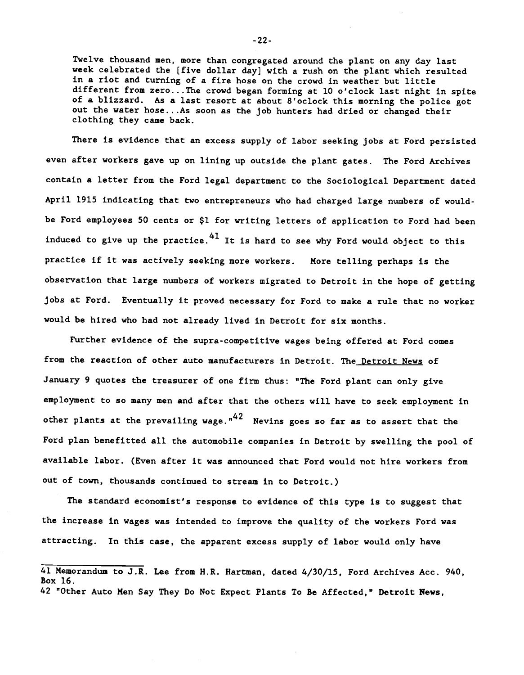Twelve thousand men, more than congregated around the plant on any day last week celebrated the [five dollar day] with a rush on the plant which resulted in a riot and turning of a fire hose on the crowd in weather but little different from zero. . .The crowd began forming at 10 o'clock last night in spite of a blizzard. As a last resort at about 8'oclock this morning the police got out the water hose.. .As soon as the job hunters had dried or changed their clothing they came back.

There is evidence that an excess supply of labor seeking jobs at Ford persisted even after workers gave up on lining up outside the plant gates. The Ford Archives contain a letter from the Ford legal department to the Sociological Department dated April 1915 indicating that two entrepreneurs who had charged large numbers of wouldbe Ford employees 50 cents or \$1 for writing letters of application to Ford had been induced to give up the practice. $^{41}$  It is hard to see why Ford would object to this practice if it was actively seeking more workers. More telling perhaps is the observation that large numbers of workers migrated to Detroit in the hope of getting jobs at Ford. Eventually it proved necessary for Ford to make a rule that no worker would be hired who had not already lived in Detroit for six months.

Further evidence of the supra-competitive wages being offered at Ford comes from the reaction of other auto manufacturers in Detroit. The Detroit News of January 9 quotes the treasurer of one firm thus: "The Ford plant can only give employment to so many men and after that the others will have to seek employment in other plants at the prevailing wage. $^{\mathsf{n42}}$  Nevins goes so far as to assert that the Ford plan benefitted all the automobile companies in Detroit by swelling the pooi of available labor. (Even after it was announced that Ford would not hire workers from out of town, thousands continued to stream in to Detroit.)

The standard economist's response to evidence of this type is to suggest that the increase in wages was intended to improve the quality of the workers Ford was attracting. In this case, the apparent excess supply of labor would only have

-22-

<sup>41</sup> Memorandum to J.R. Lee from H.R. Hartman, dated 4/30/15, Ford Archives Acc. 940, Box 16. 42 "Other Auto Men Say They Do Not Expect Plants To Be Affected," Detroit News,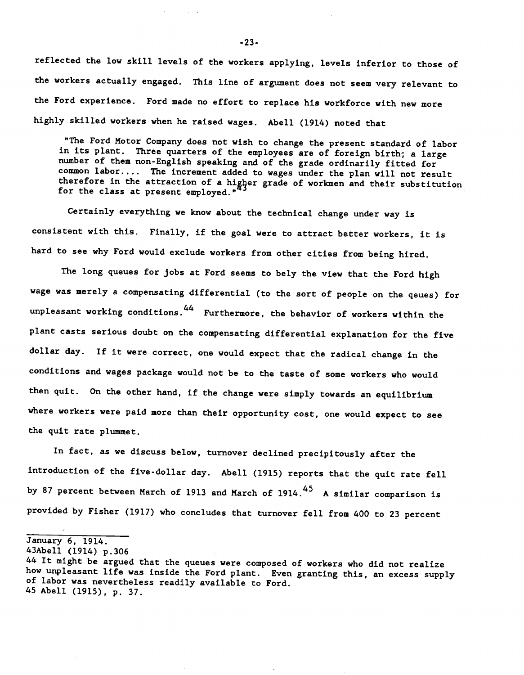reflected the low skill levels of the workers applying, levels inferior to those of the workers actually engaged. This line of argument does not seem very relevant to the Ford experience. Ford made no effort to replace his workforce with new more highly skilled workers when he raised wages. Abell (1914) noted that

"The Ford Motor Company does not wish to change the present standard of labor in its plant. Three quarters of the employees are of foreign birth; a large number of them non-English speaking and of the grade ordinarily fitted for common labor.... The increment added to wages under the plan will not result therefore in the attraction of a higher grade of workmen and their substitution for the class at present employed."

Certainly everything we know about the technical change under way is consistent with this. Finally, if the goal were to attract better workers, it is hard to see why Ford would exclude workers from other cities from being hired.

The long queues for jobs at Ford seems to bely the view that the Ford high wage was merely a compensating differential (to the sort of people on the qeues) for unpleasant working conditions.44 Furthermore, the behavior of workers within the plant casts serious doubt on the compensating differential explanation for the five dollar day. If it were correct, one would expect that the radical change in the conditions and wages package would not be to the taste of some workers who would then quit. On the other hand, if the change were simply towards an equilibrium where workers were paid more than their opportunity cost, one would expect to see the quit rate plummet.

In fact, as we discuss below, turnover declined precipitously after the introduction of the five-dollar day. Abell (1915) reports that the quit rate fell by 87 percent between March of 1913 and March of 1914.<sup>45</sup> A similar comparison is provided by Fisher (1917) who concludes that turnover fell from 400 to 23 percent

January 6, 1914.

43Abell (1914) p.306

-23-

<sup>44</sup> It might be argued that the queues were composed of workers who did not realize how unpleasant life was inside the Ford plant. Even granting this, an excess supply of labor was nevertheless readily available to Ford. 45 Abell (1915), p. 37.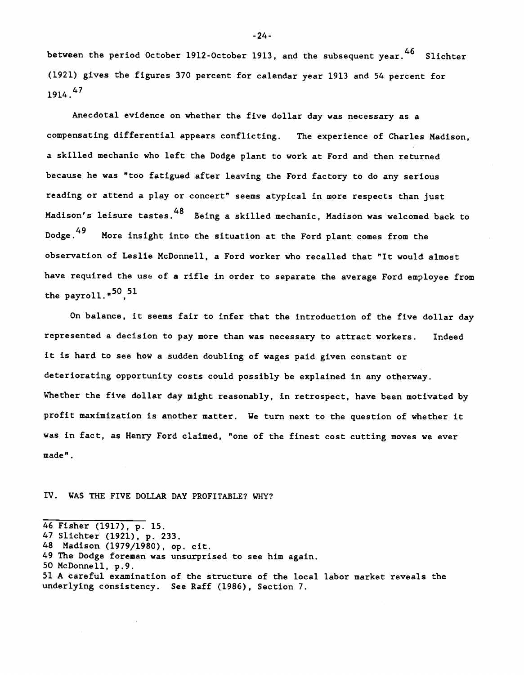between the period October 1912-October 1913, and the subsequent year.<sup>46</sup> Slichter (1921) gives the figures 370 percent for calendar year 1913 and 54 percent for  $1914.$ <sup>47</sup>

Anecdotal evidence on whether the five dollar day was necessary as a compensating differential appears conflicting. The experience of Charles Madison, a skilled mechanic who left the Dodge plant to work at Ford and then returned because he was "too fatigued after leaving the Ford factory to do any serious reading or attend a play or concert" seems atypical in more respects than just Madison's leisure tastes.48 Being a skilled mechanic, Madison was welcomed back to Dodge.49 More insight into the situation at the Ford plant comes from the observation of Leslie McDonnell, a Ford worker who recalled that "It would almost have required the use of a rifle in order to separate the average Ford employee from the payroll." $50,51$ 

On balance, it seems fair to infer that the introduction of the five dollar day represented a decision to pay more than was necessary to attract workers. Indeed it is hard to see how a sudden doubling of wages paid given constant or deteriorating opportunity costs could possibly be explained in any otherway. Whether the five dollar day might reasonably, in retrospect, have been motivated by profit maximization is another matter. We turn next to the question of whether it was in fact, as Henry Ford claimed, "one of the finest cost cutting moves we ever made".

#### IV. WAS ThE FIVE DOLLAR DAY PROFITABLE? WHY?

-24-

<sup>46</sup> Fisher (1917), p. 15.

<sup>47</sup> Slichter (1921), p. 233.

<sup>48</sup> Madison (1979/1980), op. cit.

<sup>49</sup> The Dodge foreman was unsurprised to see him again.

<sup>50</sup> McDonnell, p.9.

<sup>51</sup> A careful examination of the structure of the local labor market reveals the underlying consistency. See Raff (1986), Section 7.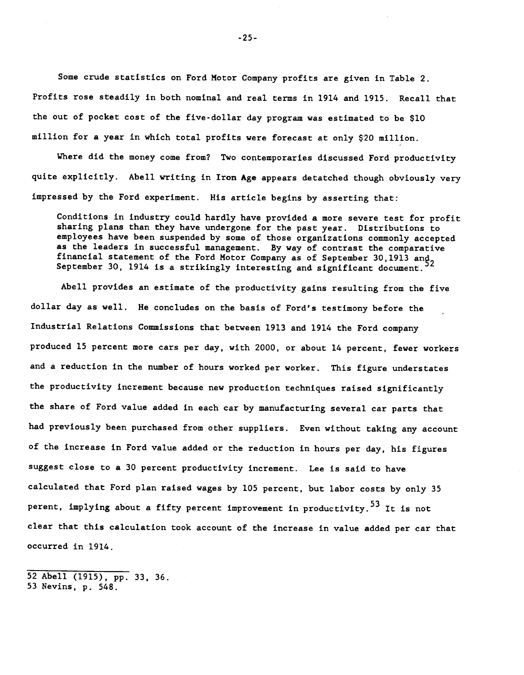Some crude statistics on Ford Motor Company profits are given in Table 2. Profits rose steadily in both nominal and real terms in 1914 and 1915. Recall that the out of pocket cost of the five-dollar day program was estimated to be \$10 million for a year in which total profits were forecast at only \$20 million.

Where did the money come from? Two contemporaries discussed Ford productivity quite explicitly. Abell writing in Iron Age appears detatched though obviously very impressed by the Ford experiment. His article begins by asserting that:

Conditions in industry could hardly have provided a more severe test for profit sharing plans than they have undergone for the past year. Distributions to employees have been suspended by some of those organizations commonly accepted as the leaders in successful management. By way of contrast the comparative financial statement of the Ford Motor Company as of September 30, 1913 and 32 September 30, 1914 is a strikingly interesting and significant document.

Abell provides an estimate of the productivity gains resulting from the five dollar day as well. He concludes on the basis of Ford's testimony before the Industrial Relations Commissions that between 1913 and 1914 the Ford company produced 15 percent more cars per day, with 2000, or about 14 percent, fewer workers and a reduction in the number of hours worked per worker. This figure understates the productivity increment because new production techniques raised significantly the share of Ford value added in each car by manufacturing several car parts that had previously been purchased from other suppliers. Even without taking any account of the increase in Ford value added or the reduction in hours per day, his figures suggest close to a 30 percent productivity increment. Lee is said to have calculated that Ford plan raised wages by 105 percent, but labor costs by only 35 perent, implying about a fifty percent improvement in productivity.<sup>53</sup> It is not clear that this calculation took account of the increase in value added per car that occurred in 1914.

52 Abell (1915), pp. 33, 36. 53 Nevins, p. 548.

-25-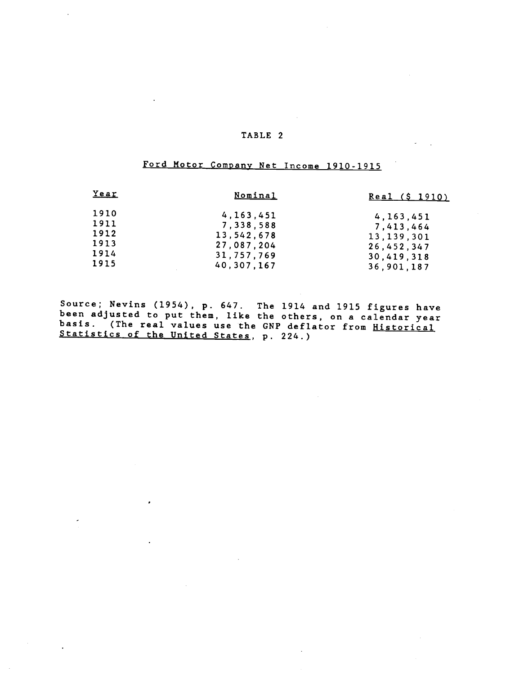# Ford Motor Company Net Income 1910-1915

| <u>Year</u>                                  | <u>Nominal</u>                                                                   | Real (\$ 1910)                                                                     |
|----------------------------------------------|----------------------------------------------------------------------------------|------------------------------------------------------------------------------------|
| 1910<br>1911<br>1912<br>1913<br>1914<br>1915 | 4, 163, 451<br>7,338,588<br>13,542,678<br>27,087,204<br>31,757,769<br>40,307,167 | 4, 163, 451<br>7,413,464<br>13, 139, 301<br>26,452,347<br>30,419,318<br>36,901,187 |
|                                              |                                                                                  |                                                                                    |

Source; Nevins (1954), p. 647. The 1914 and 1915 figures have been adjusted to put them, like the others, on a calendar year basis. (The real values use the GNP deflator from Historical Statistics of the United States, p. 224.)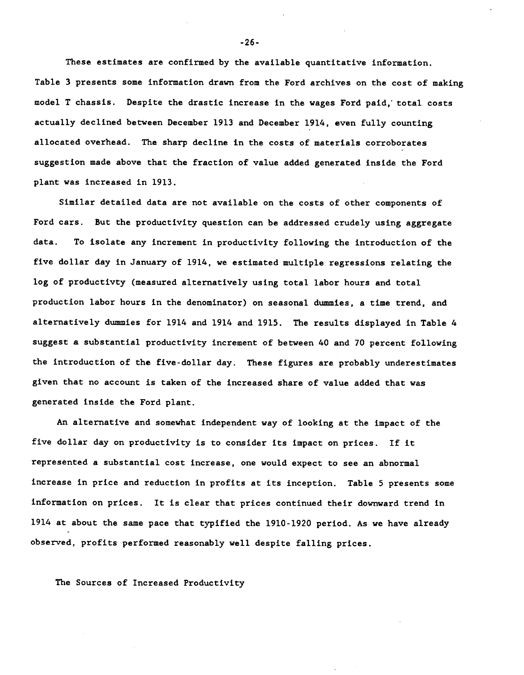These estimates are confirmed by the available quantitative information. Table 3 presents some information drawn from the Ford archives on the cost of making model T chassis. Despite the drastic increase in the wages Ford paid, total costs actually declined between December 1913 and December 1914, even fully counting allocated overhead. The sharp decline in the costs of materials corroborates suggestion made above that the fraction of value added generated inside the Ford plant was increased in 1913.

Similar detailed data are not available on the costs of other components of Ford cars. But the productivity question can be addressed crudely using aggregate data. To isolate any increment in productivity following the introduction of the five dollar day in January of 1914, we estimated multiple regressions relating the log of productivty (measured alternatively using total labor hours and total production labor hours in the denominator) on seasonal dummies, a time trend, and alternatively dummies for 1914 and 1914 and 1915. The results displayed in Table 4 suggest a substantial productivity increment of between 40 and 70 percent following the introduction of the five-dollar day. These figures are probably underestimates given that no account is taken of the increased share of value added that was generated inside the Ford plant.

An alternative and somewhat independent way of looking at the impact of the five dollar day on productivity is to consider its impact on prices. If it represented a substantial cost increase, one would expect to see an abnormal increase in price and reduction in profits at its inception. Table 5 presents some information on prices. It is clear that prices continued their downward trend in 1914 at about the same pace that typified the 1910-1920 period. As we have already observed, profits performed reasonably well despite falling prices.

The Sources of Increased Productivity

-26-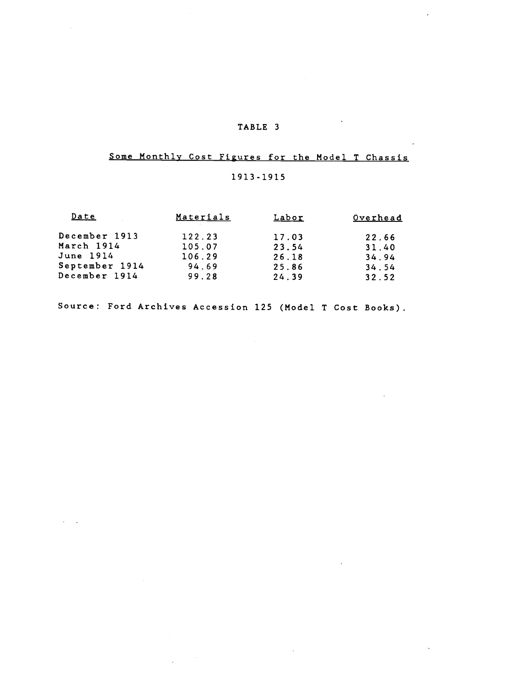$\sim$ 

# Some Monthly Cost Figures for the Model T Chassis

# 1913-1915

 $\sim$ 

 $\label{eq:2} \frac{1}{\sqrt{2}}\int_{0}^{\infty}\frac{d\mu}{\lambda}d\mu\,d\mu\,.$ 

| <u>Date</u>    | Materials | <u>Labor</u> | Overhead |  |
|----------------|-----------|--------------|----------|--|
| December 1913  | 122.23    | 17.03        | 22.66    |  |
| March 1914     | 105.07    | 23.54        | 31.40    |  |
| June 1914      | 106.29    | 26.18        | 34.94    |  |
| September 1914 | 94.69     | 25.86        | 34.54    |  |
| December 1914  | 99.28     | 24.39        | 32.52    |  |

Source: Ford Archives Accession 125 (Model T Cost Books).

 $\Delta \sim 10^7$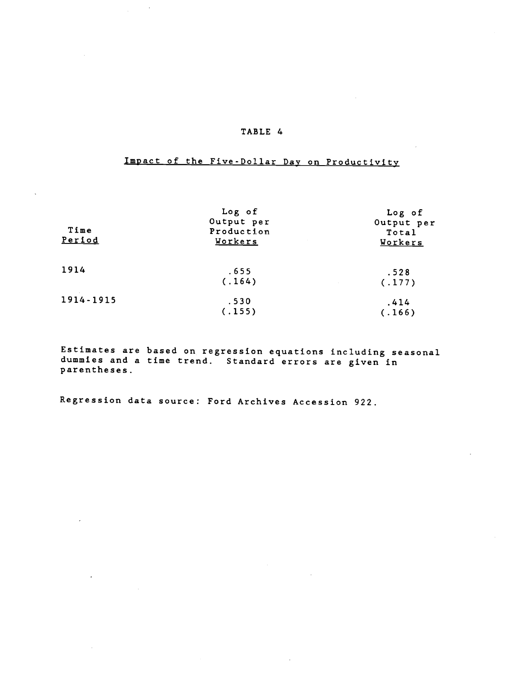# Impact of the Five-Dollar Day on Productivity

| Time<br>Period | Log of<br>Output per<br>Production<br>Workers | Log of<br>Output per<br>Total<br>Workers      |  |
|----------------|-----------------------------------------------|-----------------------------------------------|--|
| 1914           | .655<br>(.164)                                | .528<br>(.177)<br>$\sim 10^{11}$ km s $^{-1}$ |  |
| 1914-1915      | .530<br>(.155)                                | .414<br>(.166)                                |  |

Estimates are based on regression equations including seasonal dummies and a time trend. Standard errors are given in parentheses.

Regression data source: Ford Archives Accession 922.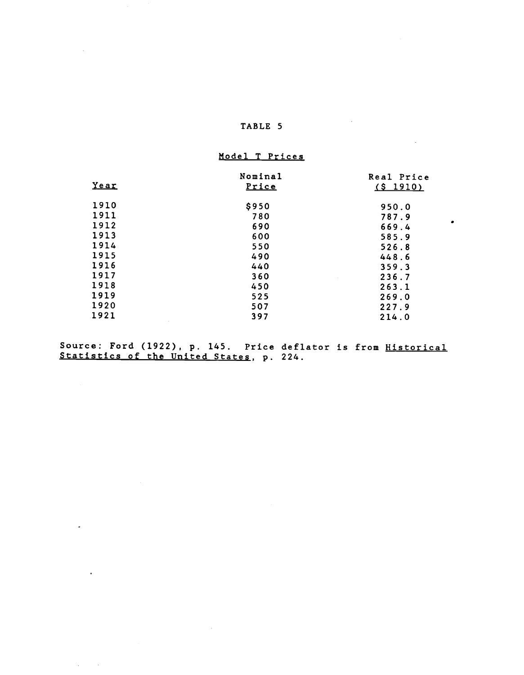$\sim 10$ 

 $\mathcal{L}(\mathcal{L})$  and  $\mathcal{L}(\mathcal{L})$ 

 $\sim 10^{10}$  km s  $^{-1}$ 

 $\mathcal{L}^{\text{max}}_{\text{max}}$  and  $\mathcal{L}^{\text{max}}_{\text{max}}$ 

# Model T Prices

| Year           | Nominal<br>Price | Real Price<br>(s 1910) |
|----------------|------------------|------------------------|
| 1910           | \$950            | 950.0                  |
| 1911           | 780              | 787.9                  |
| 1912           | 690              | ٠<br>669.4             |
| 1913           | 600              | 585.9                  |
| 1914           | 550              | 526.8                  |
| 1915           | 490              | 448.6                  |
| 1916           | 440              | 359.3                  |
| 1917           | 360              | 236.7                  |
| 1918           | 450              | 263.1                  |
| 1919           | 525              | 269.0                  |
| 1920           | 507              | 227.9                  |
| 1921<br>$\sim$ | 397              | 214.0                  |

 $\mathcal{L}^{\text{max}}_{\text{max}}$ 

Source: Ford (1922), p. 145. Price Statistics of the United States, p. 224. deflator is from Historical 224.

 $\mathcal{L}^{\text{max}}_{\text{max}}$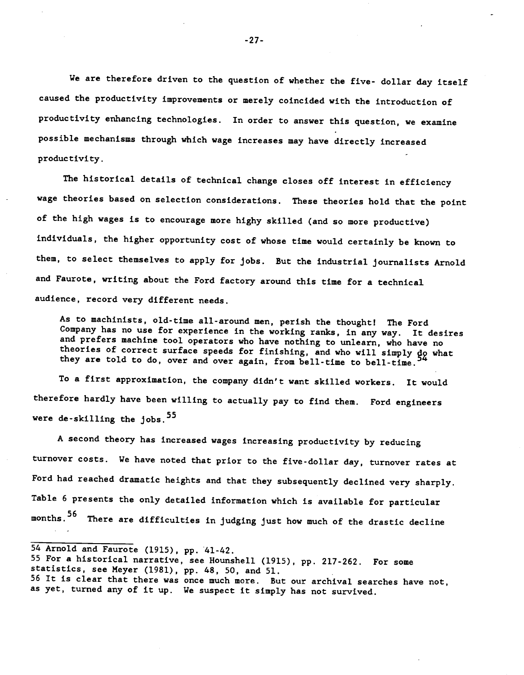We are therefore driven to the question of whether the five- dollar day itself caused the productivity improvements or merely coincided with the introduction of productivity enhancing technologies. In order to answer this question, we examine possible mechanisms through which wage increases may have directly increased productivity.

The historical details of technical change closes off interest in efficiency wage theories based on selection considerations. These theories hold that the point of the high wages is to encourage more highy skilled (and so more productive) individuals, the higher opportunity cost of whose time would certainly be known to them, to select themselves to apply for jobs. But the industrial journalists Arnold and Faurote, writing about the Ford factory around this time for a technical audience, record very different needs.

As to machinists, old-time all-around men, perish the thought! The Ford Company has no use for experience in the working ranks, in any way. It desires and prefers machine tool operators who have nothing to unlearn, who have no theories of correct surface speeds for finishing, and who will simply do what they are told to do, over and over again, from bell-time to bell-time.

To a first approximation, the company didn't want skilled workers. It would therefore hardly have been willing to actually pay to find them. Ford engineers were de-skilling the jobs.  $55$ 

A second theory has increased wages increasing productivity by reducing turnover costs. We have noted that prior to the five-dollar day, turnover rates at Ford had reached dramatic heights and that they subsequently declined very sharply. Table 6 presents the only detailed information which is available for particular months.<sup>56</sup> There are difficulties in judging just how much of the drastic decline

-27-

<sup>54</sup> Arnold and Faurote (1915), pp. '41-42.

<sup>55</sup> For a historical narrative, see Hounshell (1915), pp. 217-262. For some statistics, see Meyer (1981), pp. 48, 50, and 51. 56 It is clear that there was once much more. But our archival searches have not, as yet, turned any of it up. We suspect it simply has not survived.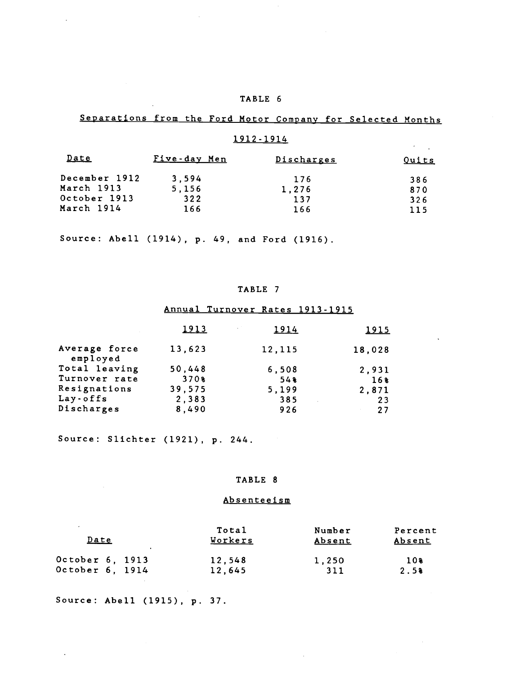# Separations from the Ford Motor Company for Selected Months

# 1912-1914  $\mathcal{A}=\mathcal{A}$ Date Five-day Men Discharges Quits December 1912 3,594 176 386<br>
March 1913 5,156 1,276 870 March 1913 5,156 1,276 870<br>October 1913 322 137 326 October 1913 322 137<br>
March 1914 166 166 March 1914 166 166 115

Source: Abell (1914), p. 49, and Ford (1916).

# TABLE 7

# Annual Turnover Rates 1913-1915

|                           | 1913   | <b>Contract</b><br>1914 | <u> 1915 </u> |  |
|---------------------------|--------|-------------------------|---------------|--|
| Average force<br>employed | 13,623 | 12,115                  | 18,028        |  |
| Total leaving             | 50,448 | 6,508                   | 2,931         |  |
| Turnover rate             | 370%   | 54                      | 16%           |  |
| Resignations              | 39,575 | 5,199                   | 2,871         |  |
| Lay-offs                  | 2,383  | 385                     | 23            |  |
| Discharges                | 8,490  | 926                     | 27            |  |

Source: Slichter (1921), p. 244.

## TABLE 8

### Absenteeism

 $\sim$ 

| $\overline{a}$<br>Date<br>$\mathbf{r}$ | Total<br><u>Workers</u> | Number<br><u>Absent</u> | Percent<br><u>Absent</u> |
|----------------------------------------|-------------------------|-------------------------|--------------------------|
| October 6, 1913                        | 12,548                  | 1,250                   | 10%                      |
| October 6, 1914                        | 12,645                  | 311                     | 2.5%                     |

Source: Abell (1915), p. 37.

 $\ddot{\phantom{a}}$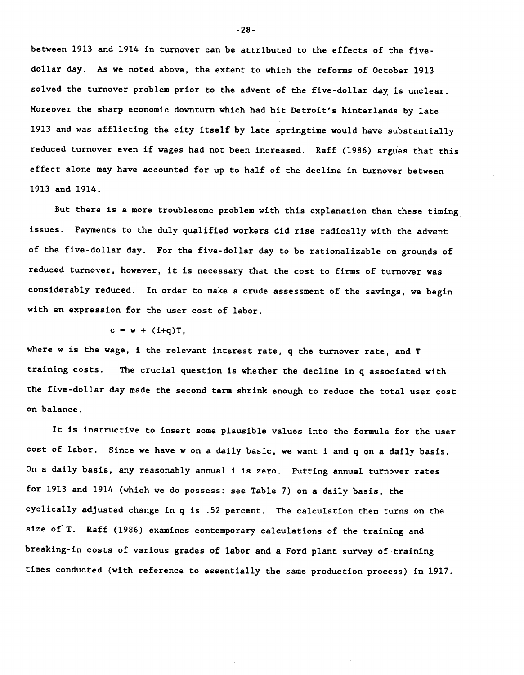between 1913 and 1914 in turnover can be attributed to the effects of the fivedollar day. As we noted above, the extent to which the reforms of October 1913 solved the turnover problem prior to the advent of the five-dollar day is unclear. Moreover the sharp economic downturn which had hit Detroit's hinterlands by late 1913 and was afflicting the city itself by late springtime would have substantially reduced turnover even if wages had not been increased. Raff (1986) argues that this effect alone may have accounted for up to half of the decline in turnover between 1913 and 1914.

But there is a more troublesome problem with this explanation than these timing issues. Payments to the duly qualified workers did rise radically with the advent of the five-dollar day. For the five-dollar day to be rationalizable on grounds of reduced turnover, however, it is necessary that the cost to firms of turnover was considerably reduced. In order to make a crude assessment of the savings, we begin with an expression for the user cost of labor.

#### $c = w + (i+q)T,$

where w is the wage, i the relevant interest rate, q the turnover rate, and T training costs. The crucial question is whether the decline in q associated with the five-dollar day made the second term shrink enough to reduce the total user cost on balance.

It is instructive to insert some plausible values into the formula for the user cost of labor. Since we have w on a daily basic, we want i and q on a daily basis. • On a daily basis, any reasonably annual i is zero. Putting annual turnover rates for 1913 and 1914 (which we do possess: see Table 7) on a daily basis, the cyclically adjusted change in q is .52 percent. The calculation then turns on the size of T. Raff (1986) examines contemporary calculations of the training and breaking-in costs of various grades of labor and a Ford plant survey of training times conducted (with reference to essentially the same production process) in 1917.

-28-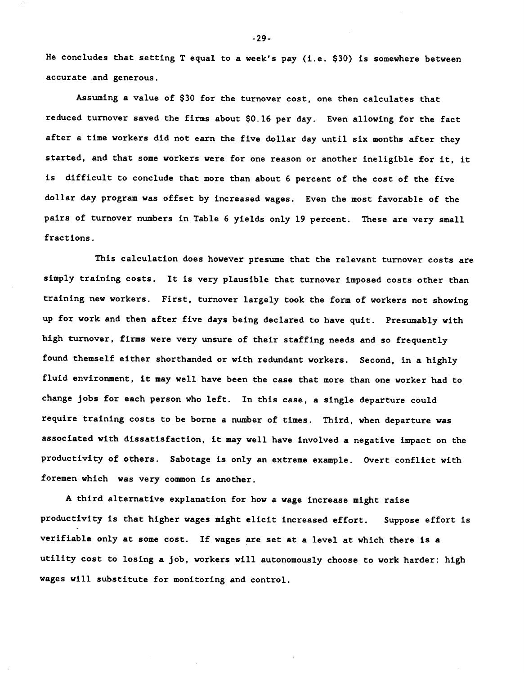He concludes that setting T equal to a week's pay (i.e. \$30) is somewhere between accurate and generous.

Assuming a value of \$30 for the turnover cost, one then calculates that reduced turnover saved the firms about \$0.16 per day. Even allowing for the fact after a time workers did not earn the five dollar day until six months after they started, and that some workers were for one reason or another ineligible for it, it is difficult to conclude that more than about 6 percent of the cost of the five dollar day program was offset by increased wages. Even the most favorable of the pairs of turnover numbers in Table 6 yields only 19 percent. These are very small fractions.

This calculation does however presume that the relevant turnover costs are simply training costs. It is very plausible that turnover imposed costs other than training new workers. First, turnover largely took the form of workers not showing up for work and then after five days being declared to have quit. Presumably with high turnover, firms were very unsure of their staffing needs and so frequently found themself either shorthanded or with redundant workers. Second, in a highly fluid environment, it may well have been the case that more than one worker had to change jobs for each person who left. In this case, a single departure could require training costs to be borne a number of times. Third, when departure was associated with dissatisfaction, it may well have involved a negative impact on the productivity of others. Sabotage is only an extreme example. Overt conflict with foremen which was very common is another.

A third alternative explanation for how a wage increase might raise productivity is that higher wages might elicit increased effort. Suppose effort is verifiable only at some cost. If wages are set at a level at which there is a utility cost to losing a job, workers will autonomously choose to work harder: high wages will substitute for monitoring and control.

-29-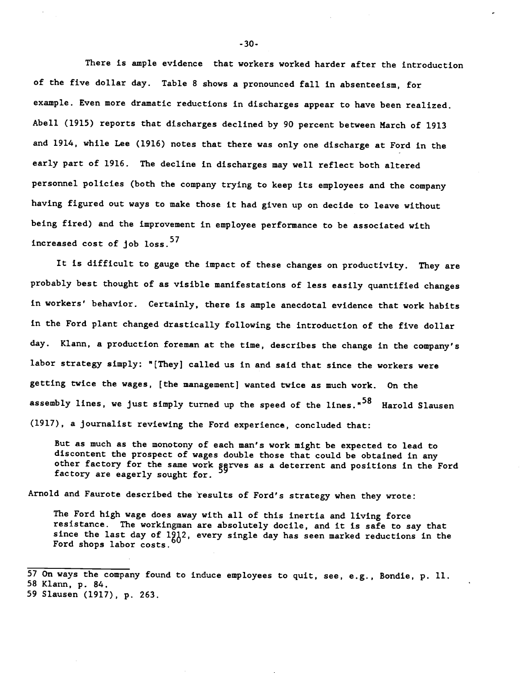There is ample evidence that workers worked harder after the introduction of the five dollar day. Table 8 shows a pronounced fall in absenteeism, for example. Even more dramatic reductions in discharges appear to have been realized. Abell (1915) reports that discharges declined by 90 percent between March of 1913 and 1914, while Lee (1916) notes that there was only one discharge at Ford in the early part of 1916. The decline in discharges may well reflect both altered personnel policies (both the company trying to keep its employees and the company having figured out ways to make those it had given up on decide to leave without being fired) and the improvement in employee performance to be associated with increased cost of  $1$ ob  $loss.<sup>57</sup>$ 

It is difficult to gauge the impact of these changes on productivity. They are probably best thought of as visible manifestations of less easily quantified changes in workers' behavior. Certainly, there is ample anecdotal evidence that work habits in the Ford plant changed drastically following the introduction of the five dollar day. Klann, a production foreman at the time, describes the change in the company's labor strategy simply: "[They] called us in and said that since the workers were getting twice the wages, [the management] wanted twice as much work. On the assembly lines, we just simply turned up the speed of the lines."<sup>58</sup> Harold Slausen (1917), a journalist reviewing the Ford experience, concluded that:

But as much as the monotony of each man's work might be expected to lead to discontent the prospect of wages double those that could be obtained in any other factory for the same work serves as a deterrent and positions in the Ford factory are eagerly sought for.

Arnold and Faurote described the results of Ford's strategy when they wrote:

The Ford high wage does away with all of this inertia and living force resistance. The workingman are absolutely docile, and it is safe to say that since the last day of  $1\frac{8}{60}$ ?, every single day has seen marked reductions in the Ford shops labor costs.

-30-

<sup>57</sup> On ways the company found to induce employees to quit, see, e.g., Bondie, p. 11. 58 Klann, p. 84.

<sup>59</sup> Slausen (1917), p. 263.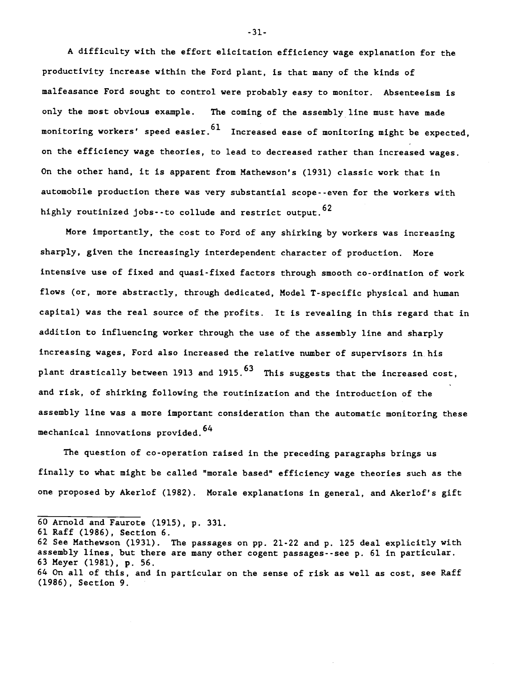A difficulty with the effort elicitation efficiency wage explanation for the productivity increase within the Ford plant, is that many of the kinds of malfeasance Ford sought to control were probably easy to monitor. Absenteeism is only the most obvious example. The coming of the assembly line must have made monitoring workers' speed easier.  $^{61}$  Increased ease of monitoring might be expected, on the efficiency wage theories, to lead to decreased rather than increased wages. On the other hand, it is apparent from Mathewson's (1931) classic work that in automobile production there was very substantial scope- -even for the workers with highly routinized jobs--to collude and restrict output.  $62$ 

More importantly, the cost to Ford of any shirking by workers was increasing sharply, given the increasingly interdependent character of production. More intensive use of fixed and quasi-fixed factors through smooth co-ordination of work flows (or, more abstractly, through dedicated, Model T-specific physical and human capital) was the real source of the profits. It is revealing in this regard that in addition to influencing worker through the use of the assembly line and sharply increasing wages, Ford also increased the relative number of supervisors in. his plant drastically between 1913 and 1915. $^{63}$  This suggests that the increased cost, and risk, of shirking following the routinization and the introduction of the assembly line was a more important consideration than the automatic monitoring these mechanical innovations provided.<sup>64</sup>

The question of co-operation raised in the preceding paragraphs brings us finally to what might be called "morale based" efficiency wage theories such as the one proposed by Akerlof (1982). Morale explanations in general, and Akerlof's gift

- 60 Arnold and Faurote (1915), p. 331.
- 61 Raff (1986), Section 6.
- 62 See Mathewson (1931). The passages on pp. 21-22 and p. 125 deal explicitly with assembly lines, but there are many other cogent passages--see p. 61 in particular. 63 Meyer (1981), p. 56.
- 64 On all of this, and in particular on the sense of risk as well as cost, see Raff (1986), Section 9.

-31-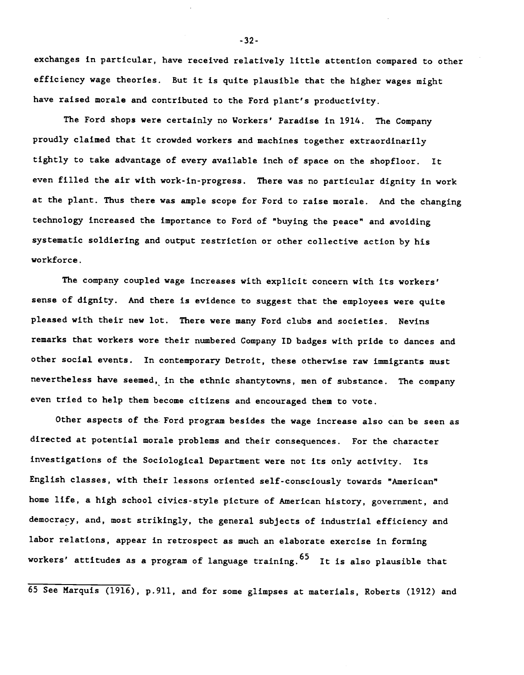exchanges in particular, have received relatively little attention compared to other efficiency wage theories. But it is quite plausible that the higher wages might have raised morale and contributed to the Ford plant's productivity.

The Ford shops were certainly no Workers' Paradise in 1914. The Company proudly claimed that it crowded workers and machines together extraordinarily tightly to take advantage of every available inch of space on the shopfloor. It even filled the air with work-in-progress. There was no particular dignity in work at the plant. Thus there was ample scope for Ford to raise morale. And the changing technology increased the importance to Ford of "buying the peace" and avoiding systematic soldiering and output restriction or other collective action by his workforce.

The company coupled wage increases with explicit concern with its workers' sense of dignity. And there is evidence to suggest that the employees were quite pleased with their new lot. There were many Ford clubs and societies. Nevins remarks that workers wore their numbered Company ID badges with pride to dances and other social events. In contemporary Detroit, these otherwise raw immigrants must nevertheless have seemed, in the ethnic shantytowns, men of substance. The company even tried to help them become citizens and encouraged them to vote.

Other aspects of the. Ford program besides the wage increase also can be seen as directed at potential morale problems and their consequences. For the character investigations of the Sociological Department were not its only activity. Its English classes, with their lessons oriented self-consciously towards "American" home life, a high school civics-style picture of American history, government, and democracy, and, most strikingly, the general subjects of industrial efficiency and labor relations, appear in retrospect as much an elaborate exercise in forming workers' attitudes as a program of language training.  $65$  It is also plausible that

65 See Marquis (1916), p.911, and for some glimpses at materials, Roberts (1912) and

-32-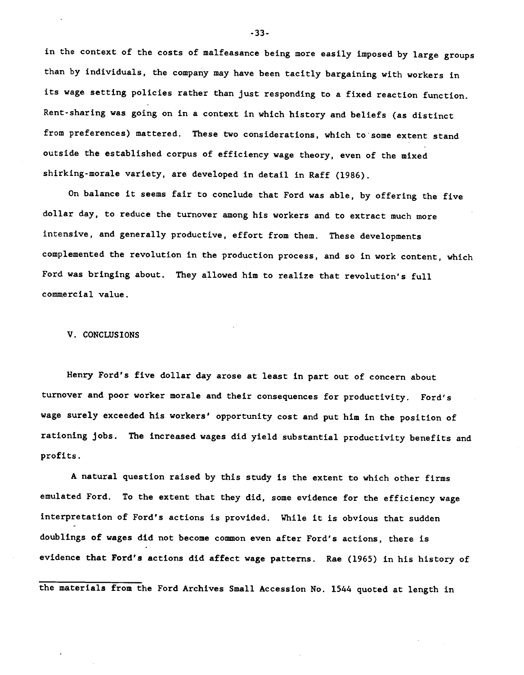in the context of the costs of malfeasance being more easily imposed by large groups than by individuals, the company may have been tacitly bargaining with workers in its wage setting policies rather than just responding to a fixed reaction function. Rent-sharing was going on in a context in which history and beliefs (as distinct from preferences) mattered. These two considerations, which to some extent stand outside the established corpus of efficiency wage theory, even of the mixed shirking-morale variety, are developed in detail in Raff (1986).

On balance it seems fair to conclude that Ford was able, by offering the five dollar day, to reduce the turnover among his workers and to extract much more intensive, and generally productive, effort from them. These developments complemented the revolution in the production process, and so in work content, which Ford was bringing about. They allowed him to realize that revolution's full commercial value.

#### V. CONCLUSIONS

Henry Ford's five dollar day arose at least in part out of concern about turnover and poor worker morale and their consequences for productivity. Ford's wage surely exceeded his workers' opportunity cost and put him in the position of rationing jobs. The increased wages did yield substantial productivity benefits and profits.

A natural question raised by this study is the extent to which other firms emulated Ford. To the extent that they did, some evidence for the efficiency wage interpretation of Ford's actions is provided. While it is obvious that sudden doublings of wages did not become common even after Ford's actions, there is evidence that Ford's actions did affect wage patterns. Rae (1965) in his history of

the materials from the Ford Archives Small Accession No. 1544 quoted at length in

-33-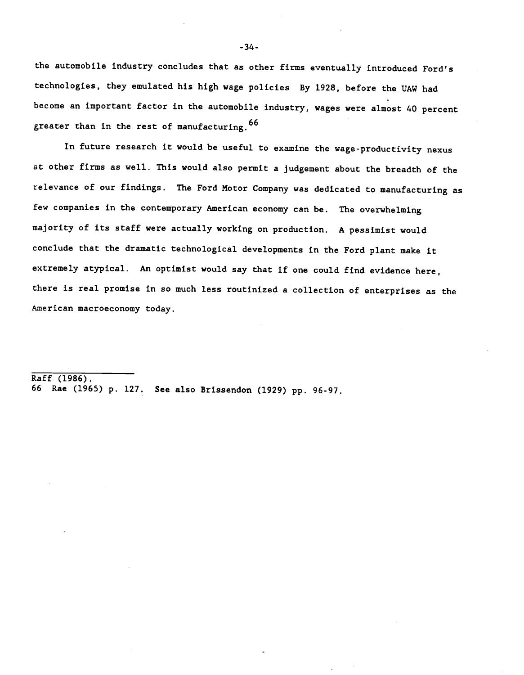the automobile industry concludes that as other firms eventually introduced Ford's technologies, they emulated his high wage policies By 1928, before the UAW had become an important factor in the automobile industry, wages were almost 40 percent greater than in the rest of manufacturing. 66

In future research it would be useful to examine the wage-productivity nexus at other firms as well. This would also permit a judgement about the breadth of the relevance of our findings. The Ford Motor Company was dedicated to manufacturing as few companies in the contemporary American economy can be. The overwhelming majority of its staff were actually working on production. A pessimist would conclude that the dramatic technological developments in the Ford plant make it extremely atypical. An optimist would say that if one could find evidence here, there is real promise in so much less routinized a collection of enterprises as the American macroeconomy today.

 $Raff (1986)$ . 66 Rae (1965) p. 127. See also Brissendon (1929) pp. 96-97.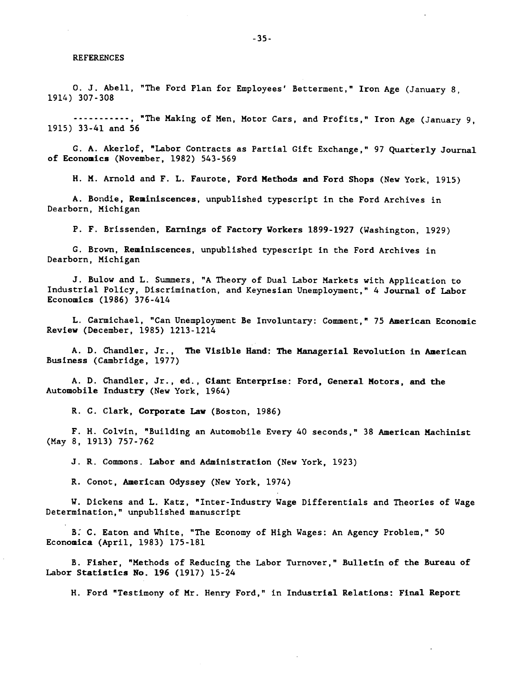#### REFERENCES

0. J. Abell, "The Ford Plan for Employees' Betterment," Iron Age (January 8, 1914) 307-308

.........., "The Making of Men, Motor Cars, and Profits," Iron Age (January 9, 1915) 33-41 and 56

C. A. Akerlof, "Labor Contracts as Partial Gift Exchange," 97 Quarterly Journal of Economics (November, 1982) 543-569

H. M. Arnold and F. L. Faurote, Ford Methods and Ford Shops (New York, 1915)

A. Bondie, Reminiscences, unpublished typescript in the Ford Archives in Dearborn, Michigan

P. F. Brissenden, Earnings of Factory Workers 1899-1927 (Washington, 1929)

G. Brown, Reminiscences, unpublished typescript in the Ford Archives in Dearborn, Michigan

J. Bulow and L. Summers, "A Theory of Dual Labor Markets with Application to Industrial Policy, Discrimination, and Keynesian Unemployment," 4 Journal of Labor Economics (1986) 376-414

L. Carmichael, "Can Unemployment Be Involuntary: Comment," 75 American Economic Review (December, 1985) 1213-1214

A. D. Chandler, Jr., The Visible Hand: The Managerial Revolution in American Business (Cambridge, 1977)

A. D. Chandler, Jr., ed., Giant Enterprise: Ford, General Motors, and the Automobile Industry (New York, 1964)

R. C. Clark, Corporate Law (Boston, 1986)

F. H. Colvin, "Building an Automobile Every 40 seconds," 38 American Machinist (May 8, 1913) 757-762

J. R. Commons. Labor and Administration (New York, 1923)

R. Conot, American Odyssey (New York, 1974)

W. Dickens and L. Katz, "Inter-Industry Wage Differentials and Theories of Wage Determination," unpublished manuscript

: C. Eaton and White, "The Economy of High Wages: An Agency Problem," 50 Economica (April, 1983) 175-181

B. Fisher, "Methods of Reducing the Labor Turnover," Bulletin of the Bureau of Labor Statistics No. 196 (1917) 15-24

H. Ford "Testimony of Mr. Henry Ford," in Industrial Relations: Final Report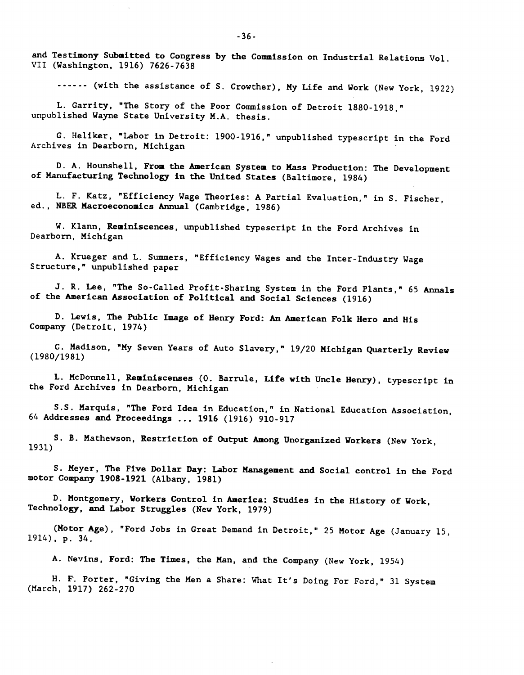and Testimony Submitted to Congress by the Commission on Industrial Relations Vol. VII (Washington, 1916) 7626-7638

...... (with the assistance of S. Crowther), My Life and Work (New York, 1922)

L. Carrity, "The Story of the Poor Commission of Detroit 1880-1918," unpublished Wayne State University M.A. thesis.

C. Heliker, "Labor in Detroit: 1900-1916," unpublished typescript in the Ford Archives in Dearborn, Michigan

D. A. Hounshell, From the American System to Mass Production: The Development of Manufacturing Technology in the United States (Baltimore, 1984)

L. F. Katz, "Efficiency Wage Theories: A Partial Evaluation," in S. Fischer, ed., NEER Macroeconomics Annual (Cambridge, 1986)

W. Klann, Reminiscences, unpublished typescript in the Ford Archives in Dearborn, Michigan

A. Krueger and L. Summers, "Efficiency Wages and the Inter-Industry Wage Structure," unpublished paper

J. R. Lee, "The So-Called Profit-Sharing System in the Ford Plants," 65 Annals of the American Association of Political and Social Sciences (1916)

D. Lewis, The Public Image of Henry Ford: An American Folk Hero and His Company (Detroit, 1974)

C. Madison, "My Seven Years of Auto Slavery," 19/20 Michigan Quarterly Review (1980/1981)

L. McDonnell, Reminiscenses (0. Barrule, Life with Uncle Henry), typescript in the Ford Archives in Dearborn, Michigan

S.S. Marquis, "The Ford Idea in Education," in National Education Association, 64 Addresses and Proceedings ... <sup>1916</sup> (1916) 910-917

S. B. Mathewson, Restriction of Output Among Unorganized Workers (New York, 1931)

S. Meyer, The Five Dollar Day: Labor Management and Social control in the Ford motor Company 1908-1921 (Albany, 1981)

D. Montgomery, Workers Control in America: Studies in the History of Work, Technology, and Labor Struggles (New York, 1979)

(Motor Age), "Ford Jobs in Great Demand in Detroit," 25 Motor Age (January 15, 1914), p. 34.

A. Nevins, Ford: The Times, the Man, and the Company (New York, 1954)

H. F. Porter, "Giving the Men a Share: What It's Doing For Ford," 31 System (March, 1917) 262-270